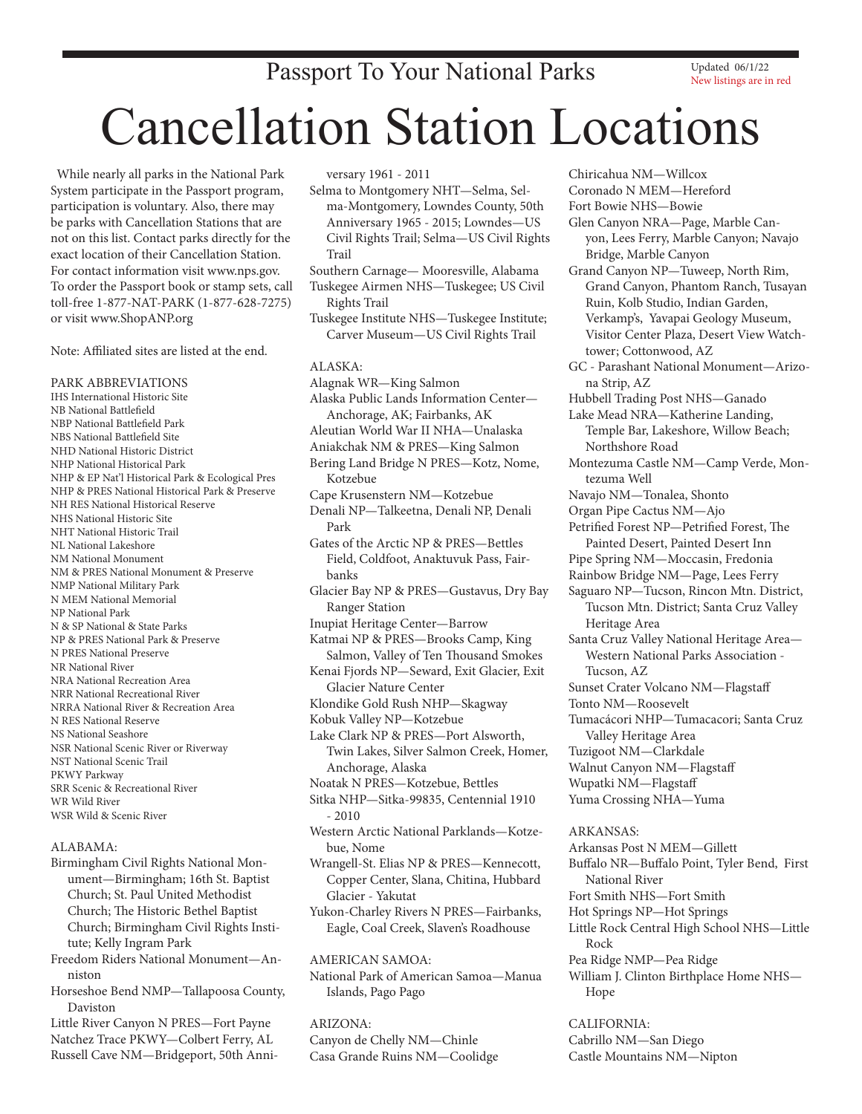## Passport To Your National Parks

Updated 06/1/22 New listings are in red

# Cancellation Station Locations

 While nearly all parks in the National Park System participate in the Passport program, participation is voluntary. Also, there may be parks with Cancellation Stations that are not on this list. Contact parks directly for the exact location of their Cancellation Station. For contact information visit www.nps.gov. To order the Passport book or stamp sets, call toll-free 1-877-NAT-PARK (1-877-628-7275) or visit www.ShopANP.org

Note: Affiliated sites are listed at the end.

PARK ABBREVIATIONS IHS International Historic Site NB National Battlefield NBP National Battlefield Park NBS National Battlefield Site NHD National Historic District NHP National Historical Park NHP & EP Nat'l Historical Park & Ecological Pres NHP & PRES National Historical Park & Preserve NH RES National Historical Reserve NHS National Historic Site NHT National Historic Trail NL National Lakeshore NM National Monument NM & PRES National Monument & Preserve NMP National Military Park N MEM National Memorial NP National Park N & SP National & State Parks NP & PRES National Park & Preserve N PRES National Preserve NR National River NRA National Recreation Area NRR National Recreational River NRRA National River & Recreation Area N RES National Reserve NS National Seashore NSR National Scenic River or Riverway NST National Scenic Trail PKWY Parkway SRR Scenic & Recreational River WR Wild River WSR Wild & Scenic River

#### ALABAMA:

Birmingham Civil Rights National Monument—Birmingham; 16th St. Baptist Church; St. Paul United Methodist Church; The Historic Bethel Baptist Church; Birmingham Civil Rights Institute; Kelly Ingram Park

Freedom Riders National Monument—Anniston

Horseshoe Bend NMP—Tallapoosa County, Daviston

Little River Canyon N PRES—Fort Payne Natchez Trace PKWY—Colbert Ferry, AL Russell Cave NM—Bridgeport, 50th Anni-

## versary 1961 - 2011

- Selma to Montgomery NHT—Selma, Selma-Montgomery, Lowndes County, 50th Anniversary 1965 - 2015; Lowndes—US Civil Rights Trail; Selma—US Civil Rights Trail
- Southern Carnage— Mooresville, Alabama Tuskegee Airmen NHS—Tuskegee; US Civil Rights Trail
- Tuskegee Institute NHS—Tuskegee Institute; Carver Museum—US Civil Rights Trail

#### ALASKA:

Alagnak WR—King Salmon Alaska Public Lands Information Center— Anchorage, AK; Fairbanks, AK Aleutian World War II NHA—Unalaska Aniakchak NM & PRES—King Salmon Bering Land Bridge N PRES—Kotz, Nome, Kotzebue Cape Krusenstern NM—Kotzebue Denali NP—Talkeetna, Denali NP, Denali Park Gates of the Arctic NP & PRES—Bettles Field, Coldfoot, Anaktuvuk Pass, Fairbanks Glacier Bay NP & PRES—Gustavus, Dry Bay Ranger Station Inupiat Heritage Center—Barrow Katmai NP & PRES—Brooks Camp, King Salmon, Valley of Ten Thousand Smokes Kenai Fjords NP—Seward, Exit Glacier, Exit Glacier Nature Center Klondike Gold Rush NHP—Skagway Kobuk Valley NP—Kotzebue Lake Clark NP & PRES—Port Alsworth, Twin Lakes, Silver Salmon Creek, Homer, Anchorage, Alaska Noatak N PRES—Kotzebue, Bettles Sitka NHP—Sitka-99835, Centennial 1910  $-2010$ Western Arctic National Parklands—Kotzebue, Nome Wrangell-St. Elias NP & PRES—Kennecott, Copper Center, Slana, Chitina, Hubbard Glacier - Yakutat Yukon-Charley Rivers N PRES—Fairbanks, Eagle, Coal Creek, Slaven's Roadhouse AMERICAN SAMOA:

National Park of American Samoa-Manua Islands, Pago Pago

## ARIZONA: Canyon de Chelly NM—Chinle Casa Grande Ruins NM—Coolidge

Chiricahua NM—Willcox Coronado N MEM—Hereford Fort Bowie NHS—Bowie Glen Canyon NRA—Page, Marble Canyon, Lees Ferry, Marble Canyon; Navajo Bridge, Marble Canyon Grand Canyon NP—Tuweep, North Rim, Grand Canyon, Phantom Ranch, Tusayan Ruin, Kolb Studio, Indian Garden, Verkamp's, Yavapai Geology Museum, Visitor Center Plaza, Desert View Watchtower; Cottonwood, AZ GC - Parashant National Monument—Arizona Strip, AZ Hubbell Trading Post NHS—Ganado Lake Mead NRA—Katherine Landing, Temple Bar, Lakeshore, Willow Beach; Northshore Road Montezuma Castle NM—Camp Verde, Montezuma Well Navajo NM—Tonalea, Shonto Organ Pipe Cactus NM—Ajo Petrified Forest NP—Petrified Forest, The Painted Desert, Painted Desert Inn Pipe Spring NM—Moccasin, Fredonia Rainbow Bridge NM—Page, Lees Ferry Saguaro NP—Tucson, Rincon Mtn. District, Tucson Mtn. District; Santa Cruz Valley Heritage Area Santa Cruz Valley National Heritage Area— Western National Parks Association - Tucson, AZ Sunset Crater Volcano NM—Flagstaff Tonto NM—Roosevelt Tumacácori NHP—Tumacacori; Santa Cruz Valley Heritage Area Tuzigoot NM—Clarkdale Walnut Canyon NM—Flagstaff Wupatki NM—Flagstaff Yuma Crossing NHA—Yuma ARKANSAS: Arkansas Post N MEM—Gillett Buffalo NR—Buffalo Point, Tyler Bend, First National River Fort Smith NHS—Fort Smith Hot Springs NP—Hot Springs Little Rock Central High School NHS—Little Rock Pea Ridge NMP—Pea Ridge William J. Clinton Birthplace Home NHS— Hope

CALIFORNIA: Cabrillo NM—San Diego Castle Mountains NM—Nipton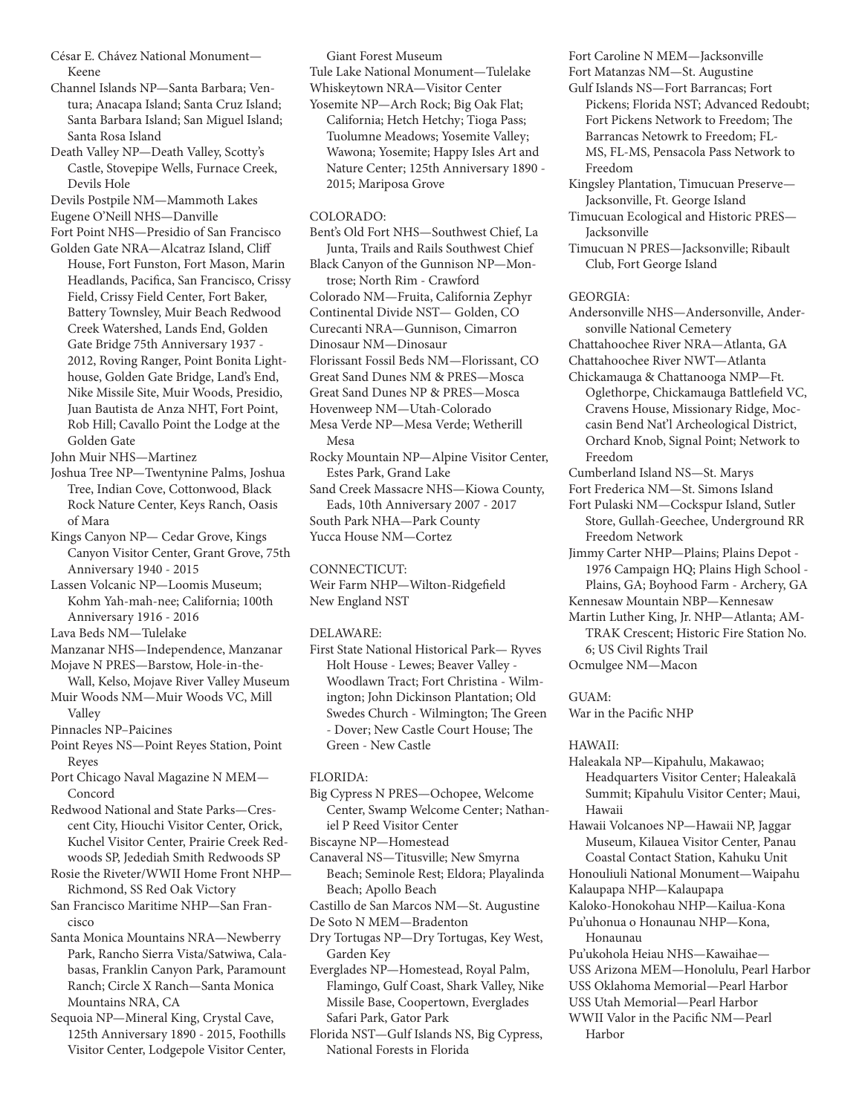César E. Chávez National Monument— Keene

- Channel Islands NP—Santa Barbara; Ventura; Anacapa Island; Santa Cruz Island; Santa Barbara Island; San Miguel Island; Santa Rosa Island
- Death Valley NP—Death Valley, Scotty's Castle, Stovepipe Wells, Furnace Creek, Devils Hole

Devils Postpile NM—Mammoth Lakes

- Eugene O'Neill NHS—Danville
- Fort Point NHS—Presidio of San Francisco
- Golden Gate NRA—Alcatraz Island, Cliff House, Fort Funston, Fort Mason, Marin Headlands, Pacifica, San Francisco, Crissy Field, Crissy Field Center, Fort Baker, Battery Townsley, Muir Beach Redwood Creek Watershed, Lands End, Golden Gate Bridge 75th Anniversary 1937 - 2012, Roving Ranger, Point Bonita Lighthouse, Golden Gate Bridge, Land's End, Nike Missile Site, Muir Woods, Presidio, Juan Bautista de Anza NHT, Fort Point, Rob Hill; Cavallo Point the Lodge at the Golden Gate

John Muir NHS—Martinez

- Joshua Tree NP—Twentynine Palms, Joshua Tree, Indian Cove, Cottonwood, Black Rock Nature Center, Keys Ranch, Oasis of Mara
- Kings Canyon NP— Cedar Grove, Kings Canyon Visitor Center, Grant Grove, 75th Anniversary 1940 - 2015
- Lassen Volcanic NP—Loomis Museum; Kohm Yah-mah-nee; California; 100th Anniversary 1916 - 2016

Lava Beds NM—Tulelake

- Manzanar NHS—Independence, Manzanar
- Mojave N PRES—Barstow, Hole-in-the-Wall, Kelso, Mojave River Valley Museum
- Muir Woods NM—Muir Woods VC, Mill Valley

Pinnacles NP-Paicines

- Point Reyes NS—Point Reyes Station, Point Reyes
- Port Chicago Naval Magazine N MEM— Concord

Redwood National and State Parks—Crescent City, Hiouchi Visitor Center, Orick, Kuchel Visitor Center, Prairie Creek Redwoods SP, Jedediah Smith Redwoods SP

- Rosie the Riveter/WWII Home Front NHP— Richmond, SS Red Oak Victory
- San Francisco Maritime NHP—San Francisco
- Santa Monica Mountains NRA—Newberry Park, Rancho Sierra Vista/Satwiwa, Calabasas, Franklin Canyon Park, Paramount Ranch; Circle X Ranch—Santa Monica Mountains NRA, CA
- Sequoia NP—Mineral King, Crystal Cave, 125th Anniversary 1890 - 2015, Foothills Visitor Center, Lodgepole Visitor Center,

Giant Forest Museum Tule Lake National Monument —Tulelake Whiskeytown NRA—Visitor Center Yosemite NP—Arch Rock; Big Oak Flat; California; Hetch Hetchy; Tioga Pass; Tuolumne Meadows; Yosemite Valley; Wawona; Yosemite; Happy Isles Art and Nature Center; 125th Anniversary 1890 - 2015; Mariposa Grove

#### COLORADO:

Bent's Old Fort NHS—Southwest Chief, La Junta, Trails and Rails Southwest Chief Black Canyon of the Gunnison NP—Montrose; North Rim - Crawford Colorado NM—Fruita, California Zephyr Continental Divide NST— Golden, CO Curecanti NRA—Gunnison, Cimarron Dinosaur NM—Dinosaur Florissant Fossil Beds NM—Florissant, CO Great Sand Dunes NM & PRES—Mosca Great Sand Dunes NP & PRES—Mosca Hovenweep NM—Utah-Colorado Mesa Verde NP—Mesa Verde; Wetherill Mesa Rocky Mountain NP—Alpine Visitor Center, Estes Park, Grand Lake Sand Creek Massacre NHS—Kiowa County,

Eads, 10th Anniversary 2007 - 2017 South Park NHA—Park County Yucca House NM—Cortez

CONNECTICUT:

Weir Farm NHP—Wilton-Ridgefield New England NST

#### DELAWARE:

First State National Historical Park— Ryves Holt House - Lewes; Beaver Valley - Woodlawn Tract; Fort Christina - Wilmington; John Dickinson Plantation; Old Swedes Church - Wilmington; The Green - Dover; New Castle Court House; The Green - New Castle

## FLORIDA:

- Big Cypress N PRES—Ochopee, Welcome Center, Swamp Welcome Center; Nathaniel P Reed Visitor Center
- Biscayne NP—Homestead
- Canaveral NS—Titusville; New Smyrna Beach; Seminole Rest; Eldora; Playalinda Beach; Apollo Beach
- Castillo de San Marcos NM—St. Augustine
- De Soto N MEM—Bradenton
- Dry Tortugas NP—Dry Tortugas, Key West, Garden Key
- Everglades NP—Homestead, Royal Palm, Flamingo, Gulf Coast, Shark Valley, Nike Missile Base, Coopertown, Everglades Safari Park, Gator Park
- Florida NST—Gulf Islands NS, Big Cypress, National Forests in Florida

Fort Caroline N MEM—Jacksonville

- Fort Matanzas NM—St. Augustine
- Gulf Islands NS—Fort Barrancas; Fort Pickens; Florida NST; Advanced Redoubt; Fort Pickens Network to Freedom; The Barrancas Netowrk to Freedom; FL-MS, FL-MS, Pensacola Pass Network to Freedom
- Kingsley Plantation, Timucuan Preserve— Jacksonville, Ft. George Island
- Timucuan Ecological and Historic PRES— Jacksonville
- Timucuan N PRES—Jacksonville; Ribault Club, Fort George Island

GEORGIA:

Andersonville NHS—Andersonville, Andersonville National Cemetery

Chattahoochee River NRA—Atlanta, GA

Chattahoochee River NWT—Atlanta

- Chickamauga & Chattanooga NMP—Ft. Oglethorpe, Chickamauga Battlefield VC, Cravens House, Missionary Ridge, Moccasin Bend Nat'l Archeological District, Orchard Knob, Signal Point; Network to Freedom
- Cumberland Island NS—St. Marys
- Fort Frederica NM—St. Simons Island
- Fort Pulaski NM—Cockspur Island, Sutler Store, Gullah-Geechee, Underground RR Freedom Network
- Jimmy Carter NHP—Plains; Plains Depot 1976 Campaign HQ; Plains High School - Plains, GA; Boyhood Farm - Archery, GA
- Kennesaw Mountain NBP—Kennesaw
- Martin Luther King, Jr. NHP—Atlanta; AM-
- TRAK Crescent; Historic Fire Station No. 6; US Civil Rights Trail
- Ocmulgee NM—Macon

GUAM:

War in the Pacific NHP

HAWAII:

Haleakala NP—Kipahulu, Makawao; Headquarters Visitor Center; Haleakalā Summit; Kīpahulu Visitor Center; Maui, Hawaii

Hawaii Volcanoes NP—Hawaii NP, Jaggar Museum, Kilauea Visitor Center, Panau Coastal Contact Station, Kahuku Unit

- Honouliuli National Monument—Waipahu
- Kalaupapa NHP—Kalaupapa
- Kaloko-Honokohau NHP—Kailua-Kona Pu'uhonua o Honaunau NHP—Kona,
- Honaunau

Pu'ukohola Heiau NHS—Kawaihae—

- USS Arizona MEM—Honolulu, Pearl Harbor
- USS Oklahoma Memorial—Pearl Harbor
- USS Utah Memorial—Pearl Harbor
- WWII Valor in the Pacific NM—Pearl Harbor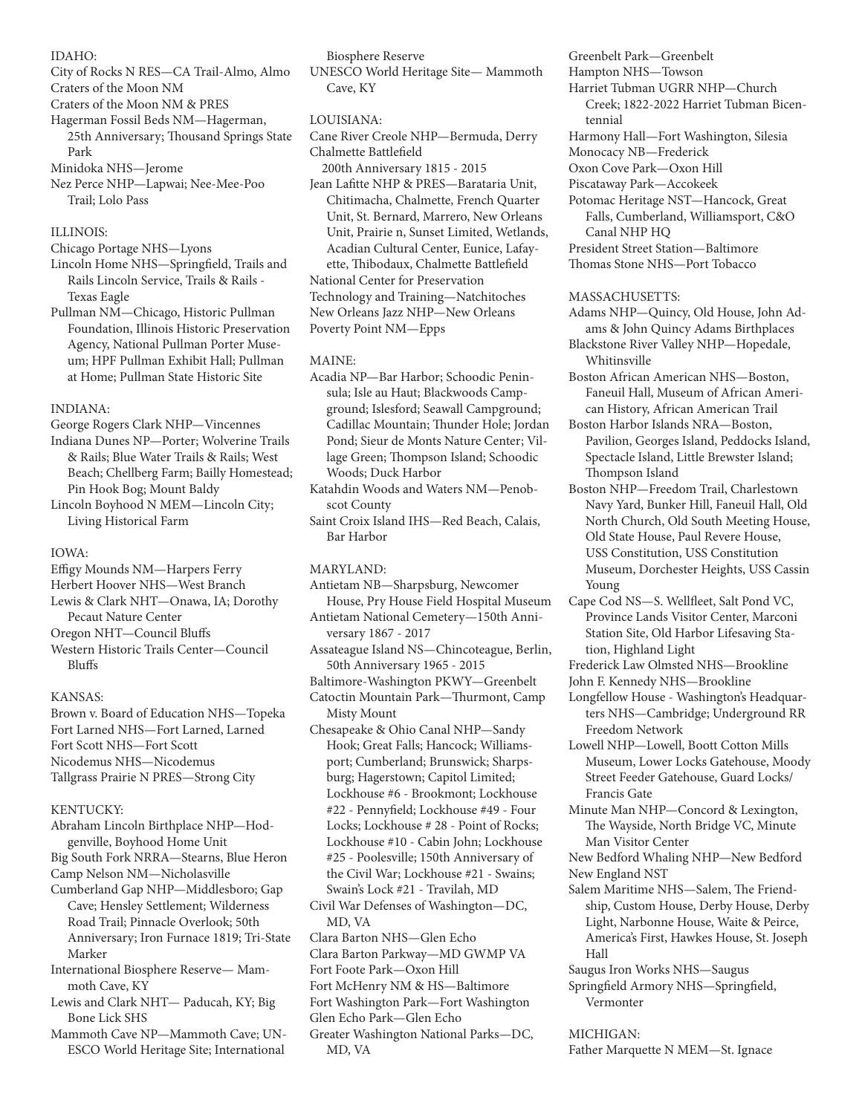## IDAHO:

- City of Rocks N RES—CA Trail-Almo, Almo
- Craters of the Moon NM
- Craters of the Moon NM & PRES
- Hagerman Fossil Beds NM—Hagerman, 25th Anniversary; Thousand Springs State Park

Minidoka NHS —Jerome

Nez Perce NHP—Lapwai; Nee-Mee-Poo Trail; Lolo Pass

## ILLINOIS:

- Chicago Portage NHS—Lyons
- Lincoln Home NHS—Springfield, Trails and Rails Lincoln Service, Trails & Rails - Texas Eagle
- Pullman NM—Chicago, Historic Pullman Foundation, Illinois Historic Preservation Agency, National Pullman Porter Museum; HPF Pullman Exhibit Hall; Pullman at Home; Pullman State Historic Site

## INDIANA:

- George Rogers Clark NHP—Vincennes
- Indiana Dunes NP—Porter; Wolverine Trails & Rails; Blue Water Trails & Rails; West Beach; Chellberg Farm; Bailly Homestead; Pin Hook Bog; Mount Baldy

Lincoln Boyhood N MEM—Lincoln City; Living Historical Farm

## IOWA:

- Effigy Mounds NM—Harpers Ferry
- Herbert Hoover NHS—West Branch

Lewis & Clark NHT—Onawa, IA; Dorothy Pecaut Nature Center

Oregon NHT—Council Bluffs

Western Historic Trails Center—Council Bluffs

## KANSAS:

Brown v. Board of Education NHS—Topeka Fort Larned NHS—Fort Larned, Larned Fort Scott NHS—Fort Scott Nicodemus NHS—Nicodemus Tallgrass Prairie N PRES—Strong City

## KENTUCKY:

- Abraham Lincoln Birthplace NHP—Hodgenville, Boyhood Home Unit
- Big South Fork NRRA—Stearns, Blue Heron Camp Nelson NM—Nicholasville
- Cumberland Gap NHP—Middlesboro; Gap Cave; Hensley Settlement; Wilderness Road Trail; Pinnacle Overlook; 50th Anniversary; Iron Furnace 1819; Tri-State Marker
- International Biosphere Reserve— Mammoth Cave, KY
- Lewis and Clark NHT— Paducah, KY; Big Bone Lick SHS
- Mammoth Cave NP—Mammoth Cave; UN-ESCO World Heritage Site; International

Biosphere Reserve

UNESCO World Heritage Site— Mammoth Cave, KY

## LOUISIANA:

- Cane River Creole NHP—Bermuda, Derry Chalmette Battlefield
- 200th Anniversary 1815 2015 Jean Lafitte NHP & PRES—Barataria Unit, Chitimacha, Chalmette, French Quarter Unit, St. Bernard, Marrero, New Orleans Unit, Prairie n, Sunset Limited, Wetlands, Acadian Cultural Center, Eunice, Lafayette, Thibodaux, Chalmette Battlefield National Center for Preservation Technology and Training—Natchitoches New Orleans Jazz NHP—New Orleans

Poverty Point NM—Epps

## MAINE:

Acadia NP—Bar Harbor; Schoodic Peninsula; Isle au Haut; Blackwoods Campground; Islesford; Seawall Campground; Cadillac Mountain; Thunder Hole; Jordan Pond; Sieur de Monts Nature Center; Village Green; Thompson Island; Schoodic Woods; Duck Harbor

Katahdin Woods and Waters NM—Penobscot County

Saint Croix Island IHS—Red Beach, Calais, Bar Harbor

## MARYLAND:

- Antietam NB—Sharpsburg, Newcomer House, Pry House Field Hospital Museum
- Antietam National Cemetery—150th Anniversary 1867 - 2017
- Assateague Island NS—Chincoteague, Berlin, 50th Anniversary 1965 - 2015
- Baltimore-Washington PKWY—Greenbelt

Catoctin Mountain Park—Thurmont, Camp Misty Mount

- Chesapeake & Ohio Canal NHP—Sandy Hook; Great Falls; Hancock; Williamsport; Cumberland; Brunswick; Sharpsburg; Hagerstown; Capitol Limited; Lockhouse #6 - Brookmont; Lockhouse #22 - Pennyfield; Lockhouse #49 - Four Locks; Lockhouse # 28 - Point of Rocks; Lockhouse #10 - Cabin John; Lockhouse #25 - Poolesville; 150th Anniversary of the Civil War; Lockhouse #21 - Swains; Swain's Lock #21 - Travilah, MD
- Civil War Defenses of Washington—DC, MD, VA
- Clara Barton NHS—Glen Echo
- Clara Barton Parkway—MD GWMP VA
- Fort Foote Park—Oxon Hill
- Fort McHenry NM & HS—Baltimore
- Fort Washington Park—Fort Washington
- Glen Echo Park—Glen Echo
- Greater Washington National Parks—DC, MD, VA
- Greenbelt Park—Greenbelt
- Hampton NHS—Towson
- Harriet Tubman UGRR NHP—Church Creek; 1822-2022 Harriet Tubman Bicentennial
- Harmony Hall—Fort Washington, Silesia
- Monocacy NB—Frederick
- Oxon Cove Park—Oxon Hill
- Piscataway Park—Accokeek
- Potomac Heritage NST—Hancock, Great Falls, Cumberland, Williamsport, C&O Canal NHP HQ President Street Station—Baltimore

Thomas Stone NHS—Port Tobacco

## MASSACHUSETTS:

- Adams NHP—Quincy, Old House, John Adams & John Quincy Adams Birthplaces Blackstone River Valley NHP—Hopedale,
- Whitinsville Boston African American NHS—Boston, Faneuil Hall, Museum of African American History, African American Trail
- Boston Harbor Islands NRA—Boston, Pavilion, Georges Island, Peddocks Island, Spectacle Island, Little Brewster Island; Thompson Island
- Boston NHP—Freedom Trail, Charlestown Navy Yard, Bunker Hill, Faneuil Hall, Old North Church, Old South Meeting House, Old State House, Paul Revere House, USS Constitution, USS Constitution Museum, Dorchester Heights, USS Cassin Young
- Cape Cod NS—S. Wellfleet, Salt Pond VC, Province Lands Visitor Center, Marconi Station Site, Old Harbor Lifesaving Station, Highland Light
- Frederick Law Olmsted NHS—Brookline
- John F. Kennedy NHS—Brookline
- Longfellow House Washington's Headquarters NHS—Cambridge; Underground RR Freedom Network
- Lowell NHP—Lowell, Boott Cotton Mills Museum, Lower Locks Gatehouse, Moody Street Feeder Gatehouse, Guard Locks/ Francis Gate
- Minute Man NHP—Concord & Lexington, The Wayside, North Bridge VC, Minute Man Visitor Center
- New Bedford Whaling NHP—New Bedford New England NST
- Salem Maritime NHS—Salem, The Friendship, Custom House, Derby House, Derby Light, Narbonne House, Waite & Peirce, America's First, Hawkes House, St. Joseph Hall
- Saugus Iron Works NHS—Saugus
- Springfield Armory NHS—Springfield, Vermonter

## MICHIGAN:

Father Marquette N MEM—St. Ignace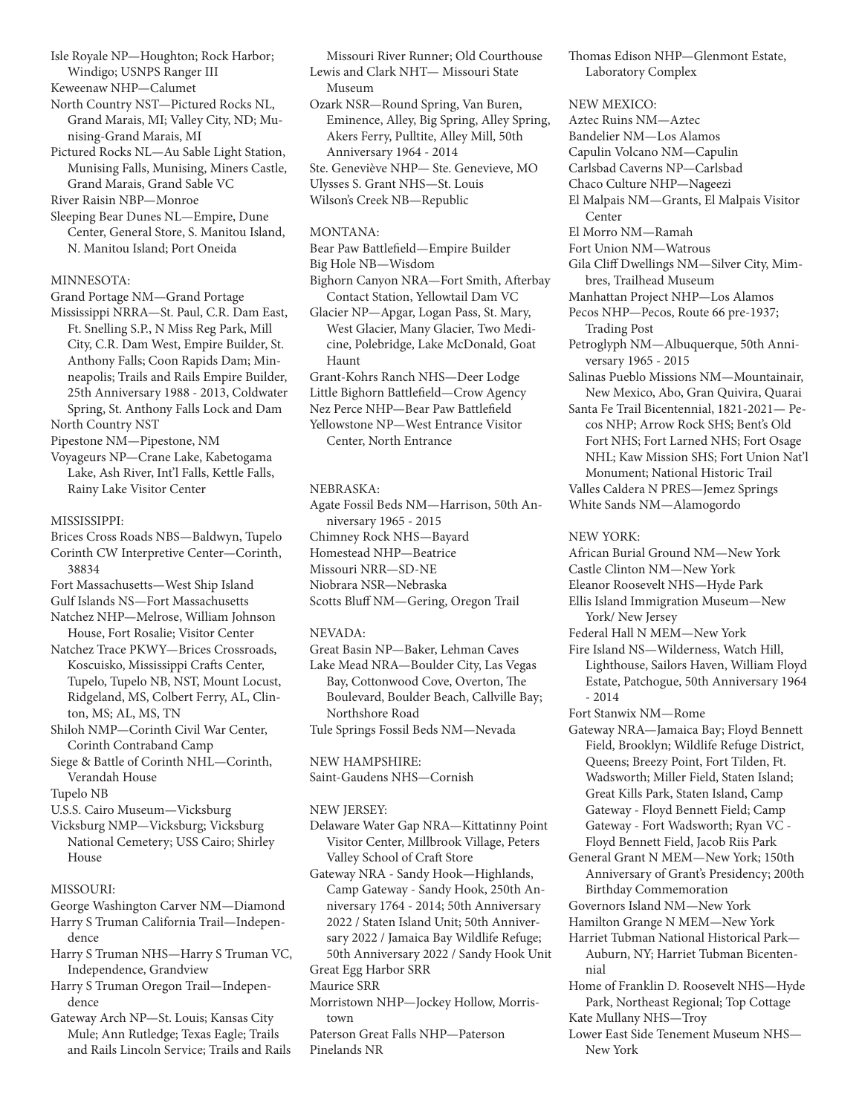Isle Royale NP—Houghton; Rock Harbor; Windigo; USNPS Ranger III

Keweenaw NHP—Calumet

North Country NST—Pictured Rocks NL, Grand Marais, MI; Valley City, ND; Munising-Grand Marais, MI

Pictured Rocks NL—Au Sable Light Station, Munising Falls, Munising, Miners Castle, Grand Marais, Grand Sable VC River Raisin NBP—Monroe

Sleeping Bear Dunes NL—Empire, Dune Center, General Store, S. Manitou Island,

N. Manitou Island; Port Oneida

## MINNESOTA:

Grand Portage NM—Grand Portage Mississippi NRRA—St. Paul, C.R. Dam East, Ft. Snelling S.P., N Miss Reg Park, Mill City, C.R. Dam West, Empire Builder, St. Anthony Falls; Coon Rapids Dam; Minneapolis; Trails and Rails Empire Builder, 25th Anniversary 1988 - 2013, Coldwater Spring, St. Anthony Falls Lock and Dam North Country NST

Pipestone NM—Pipestone, NM

Voyageurs NP—Crane Lake, Kabetogama Lake, Ash River, Int'l Falls, Kettle Falls, Rainy Lake Visitor Center

## MISSISSIPPI:

Brices Cross Roads NBS—Baldwyn, Tupelo Corinth CW Interpretive Center—Corinth, 38834

Fort Massachusetts—West Ship Island

Gulf Islands NS—Fort Massachusetts

- Natchez NHP—Melrose, William Johnson House, Fort Rosalie; Visitor Center
- Natchez Trace PKWY—Brices Crossroads, Koscuisko, Mississippi Crafts Center, Tupelo, Tupelo NB, NST, Mount Locust, Ridgeland, MS, Colbert Ferry, AL, Clinton, MS; AL, MS, TN
- Shiloh NMP—Corinth Civil War Center, Corinth Contraband Camp
- Siege & Battle of Corinth NHL—Corinth, Verandah House

Tupelo NB

- U.S.S. Cairo Museum—Vicksburg
- Vicksburg NMP—Vicksburg; Vicksburg National Cemetery; USS Cairo; Shirley House

## MISSOURI:

- George Washington Carver NM—Diamond Harry S Truman California Trail—Independence
- Harry S Truman NHS—Harry S Truman VC, Independence, Grandview
- Harry S Truman Oregon Trail—Independence
- Gateway Arch NP—St. Louis; Kansas City Mule; Ann Rutledge; Texas Eagle; Trails and Rails Lincoln Service; Trails and Rails

Missouri River Runner; Old Courthouse Lewis and Clark NHT— Missouri State Museum

Ozark NSR—Round Spring, Van Buren, Eminence, Alley, Big Spring, Alley Spring, Akers Ferry, Pulltite, Alley Mill, 50th Anniversary 1964 - 2014 Ste. Geneviève NHP— Ste. Genevieve, MO Ulysses S. Grant NHS—St. Louis

Wilson's Creek NB—Republic

## MONTANA:

Bear Paw Battlefield—Empire Builder Big Hole NB—Wisdom Bighorn Canyon NRA—Fort Smith, Afterbay Contact Station, Yellowtail Dam VC Glacier NP—Apgar, Logan Pass, St. Mary, West Glacier, Many Glacier, Two Medicine, Polebridge, Lake McDonald, Goat Haunt Grant-Kohrs Ranch NHS—Deer Lodge Little Bighorn Battlefield—Crow Agency Nez Perce NHP—Bear Paw Battlefield Yellowstone NP—West Entrance Visitor Center, North Entrance

NEBRASKA:

Agate Fossil Beds NM—Harrison, 50th Anniversary 1965 - 2015 Chimney Rock NHS—Bayard Homestead NHP—Beatrice Missouri NRR—SD-NE Niobrara NSR—Nebraska Scotts Bluff NM—Gering, Oregon Trail

## NEVADA:

Great Basin NP—Baker, Lehman Caves Lake Mead NRA—Boulder City, Las Vegas Bay, Cottonwood Cove, Overton, The Boulevard, Boulder Beach, Callville Bay; Northshore Road

Tule Springs Fossil Beds NM—Nevada

NEW HAMPSHIRE:

Saint-Gaudens NHS—Cornish

## NEW JERSEY:

Delaware Water Gap NRA—Kittatinny Point Visitor Center, Millbrook Village, Peters Valley School of Craft Store

Gateway NRA - Sandy Hook—Highlands, Camp Gateway - Sandy Hook, 250th Anniversary 1764 - 2014; 50th Anniversary 2022 / Staten Island Unit; 50th Anniversary 2022 / Jamaica Bay Wildlife Refuge; 50th Anniversary 2022 / Sandy Hook Unit

## Great Egg Harbor SRR

## Maurice SRR

Morristown NHP—Jockey Hollow, Morristown

Paterson Great Falls NHP—Paterson Pinelands NR

Thomas Edison NHP—Glenmont Estate, Laboratory Complex

## NEW MEXICO:

Aztec Ruins NM—Aztec Bandelier NM—Los Alamos Capulin Volcano NM—Capulin Carlsbad Caverns NP—Carlsbad Chaco Culture NHP—Nageezi El Malpais NM—Grants, El Malpais Visitor Center El Morro NM—Ramah Fort Union NM—Watrous Gila Cliff Dwellings NM—Silver City, Mimbres, Trailhead Museum Manhattan Project NHP—Los Alamos Pecos NHP—Pecos, Route 66 pre-1937; Trading Post Petroglyph NM—Albuquerque, 50th Anniversary 1965 - 2015 Salinas Pueblo Missions NM—Mountainair, New Mexico, Abo, Gran Quivira, Quarai Santa Fe Trail Bicentennial, 1821-2021— Pecos NHP; Arrow Rock SHS; Bent's Old Fort NHS; Fort Larned NHS; Fort Osage NHL; Kaw Mission SHS; Fort Union Nat'l Monument; National Historic Trail Valles Caldera N PRES—Jemez Springs White Sands NM—Alamogordo NEW YORK: African Burial Ground NM—New York Castle Clinton NM—New York Eleanor Roosevelt NHS—Hyde Park Ellis Island Immigration Museum—New York/ New Jersey Federal Hall N MEM—New York Fire Island NS—Wilderness, Watch Hill, Lighthouse, Sailors Haven, William Floyd Estate, Patchogue, 50th Anniversary 1964 - 2014 Fort Stanwix NM—Rome Gateway NRA—Jamaica Bay; Floyd Bennett Field, Brooklyn; Wildlife Refuge District, Queens; Breezy Point, Fort Tilden, Ft. Wadsworth; Miller Field, Staten Island; Great Kills Park, Staten Island, Camp Gateway - Floyd Bennett Field; Camp Gateway - Fort Wadsworth; Ryan VC - Floyd Bennett Field, Jacob Riis Park General Grant N MEM—New York; 150th Anniversary of Grant's Presidency; 200th Birthday Commemoration

Governors Island NM—New York

Hamilton Grange N MEM-New York

- Harriet Tubman National Historical Park— Auburn, NY; Harriet Tubman Bicentennial
- Home of Franklin D. Roosevelt NHS—Hyde Park, Northeast Regional; Top Cottage
- Kate Mullany NHS—Troy Lower East Side Tenement Museum NHS— New York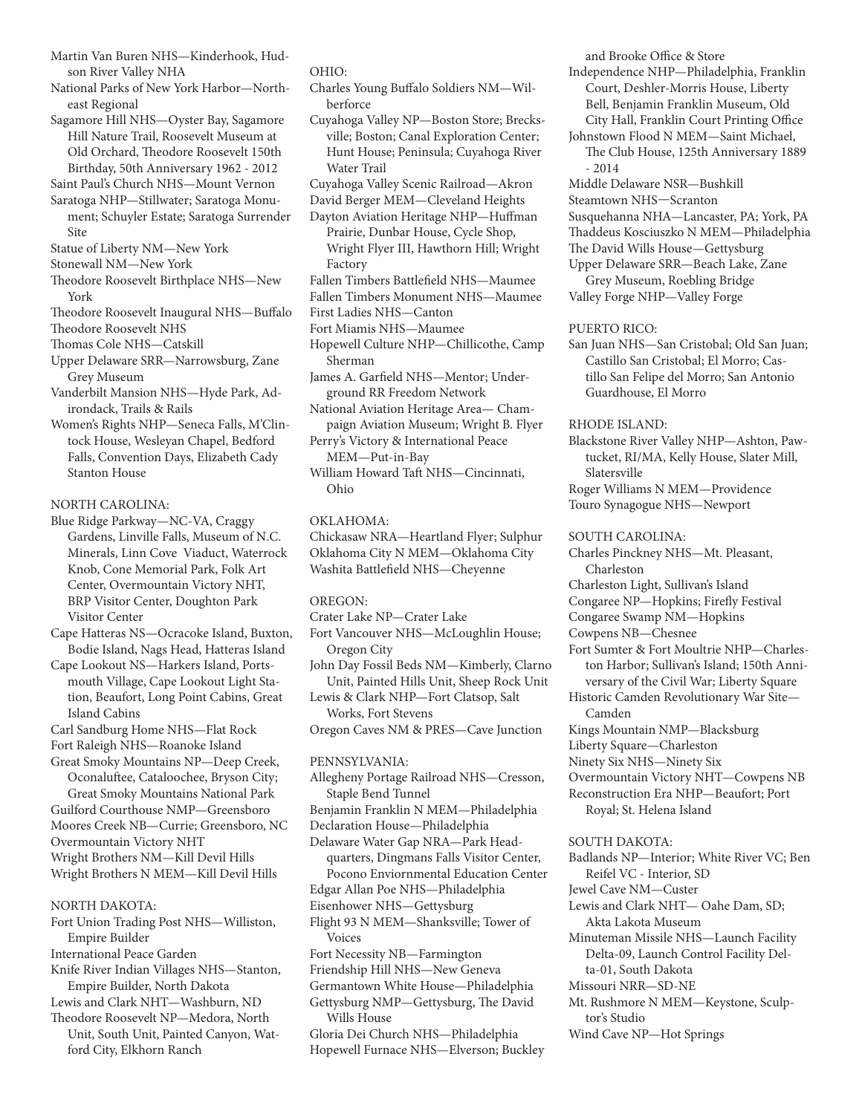Martin Van Buren NHS—Kinderhook, Hudson River Valley NHA

National Parks of New York Harbor—Northeast Regional

Sagamore Hill NHS—Oyster Bay, Sagamore Hill Nature Trail, Roosevelt Museum at Old Orchard, Theodore Roosevelt 150th Birthday, 50th Anniversary 1962 - 2012

Saint Paul's Church NHS—Mount Vernon

Saratoga NHP—Stillwater; Saratoga Monument; Schuyler Estate; Saratoga Surrender Site

Statue of Liberty NM—New York

Stonewall NM—New York

Theodore Roosevelt Birthplace NHS—New York

Theodore Roosevelt Inaugural NHS—Buffalo

Theodore Roosevelt NHS

Thomas Cole NHS—Catskill Upper Delaware SRR—Narrowsburg, Zane Grey Museum

Vanderbilt Mansion NHS—Hyde Park, Adirondack, Trails & Rails

Women's Rights NHP—Seneca Falls, M'Clintock House, Wesleyan Chapel, Bedford Falls, Convention Days, Elizabeth Cady Stanton House

NORTH CAROLINA:

Blue Ridge Parkway—NC-VA, Craggy Gardens, Linville Falls, Museum of N.C. Minerals, Linn Cove Viaduct, Waterrock Knob, Cone Memorial Park, Folk Art Center, Overmountain Victory NHT, BRP Visitor Center, Doughton Park Visitor Center

Cape Hatteras NS—Ocracoke Island, Buxton, Bodie Island, Nags Head, Hatteras Island

Cape Lookout NS—Harkers Island, Portsmouth Village, Cape Lookout Light Station, Beaufort, Long Point Cabins, Great Island Cabins

Carl Sandburg Home NHS—Flat Rock

Fort Raleigh NHS—Roanoke Island

Great Smoky Mountains NP-Deep Creek, Oconaluftee, Cataloochee, Bryson City; Great Smoky Mountains National Park Guilford Courthouse NMP-Greensboro Moores Creek NB—Currie; Greensboro, NC

Overmountain Victory NHT Wright Brothers NM—Kill Devil Hills

Wright Brothers N MEM—Kill Devil Hills

## NORTH DAKOTA:

- Fort Union Trading Post NHS—Williston, Empire Builder International Peace Garden Knife River Indian Villages NHS—Stanton, Empire Builder, North Dakota Lewis and Clark NHT—Washburn, ND Theodore Roosevelt NP—Medora, North
- Unit, South Unit, Painted Canyon, Watford City, Elkhorn Ranch

#### OHIO:

- Charles Young Buffalo Soldiers NM—Wilberforce
- Cuyahoga Valley NP—Boston Store; Brecksville; Boston; Canal Exploration Center; Hunt House; Peninsula; Cuyahoga River Water Trail
- Cuyahoga Valley Scenic Railroad—Akron
- David Berger MEM—Cleveland Heights

Dayton Aviation Heritage NHP—Huffman Prairie, Dunbar House, Cycle Shop, Wright Flyer III, Hawthorn Hill; Wright Factory

- Fallen Timbers Battlefield NHS—Maumee
- Fallen Timbers Monument NHS—Maumee

First Ladies NHS—Canton

Fort Miamis NHS—Maumee

Hopewell Culture NHP—Chillicothe, Camp Sherman

James A. Garfield NHS—Mentor; Underground RR Freedom Network

National Aviation Heritage Area— Champaign Aviation Museum; Wright B. Flyer Perry's Victory & International Peace

MEM—Put-in-Bay William Howard Taft NHS—Cincinnati,

Ohio

## OKLAHOMA:

Chickasaw NRA—Heartland Flyer; Sulphur Oklahoma City N MEM—Oklahoma City Washita Battlefield NHS—Cheyenne

## OREGON:

Crater Lake NP—Crater Lake

Fort Vancouver NHS—McLoughlin House; Oregon City

John Day Fossil Beds NM—Kimberly, Clarno Unit, Painted Hills Unit, Sheep Rock Unit

Lewis & Clark NHP—Fort Clatsop, Salt Works, Fort Stevens

Oregon Caves NM & PRES—Cave Junction

## PENNSYLVANIA:

Allegheny Portage Railroad NHS—Cresson, Staple Bend Tunnel Benjamin Franklin N MEM—Philadelphia Declaration House—Philadelphia Delaware Water Gap NRA—Park Headquarters, Dingmans Falls Visitor Center, Pocono Enviornmental Education Center Edgar Allan Poe NHS—Philadelphia Eisenhower NHS—Gettysburg Flight 93 N MEM—Shanksville; Tower of Voices Fort Necessity NB—Farmington Friendship Hill NHS—New Geneva Germantown White House—Philadelphia Gettysburg NMP—Gettysburg, The David

Wills House Gloria Dei Church NHS—Philadelphia

Hopewell Furnace NHS—Elverson; Buckley

and Brooke Office & Store

- Independence NHP—Philadelphia, Franklin Court, Deshler-Morris House, Liberty Bell, Benjamin Franklin Museum, Old City Hall, Franklin Court Printing Office
- Johnstown Flood N MEM—Saint Michael, The Club House, 125th Anniversary 1889  $-2014$
- Middle Delaware NSR—Bushkill
- Steamtown NHS—Scranton
- Susquehanna NHA—Lancaster, PA; York, PA

Thaddeus Kosciuszko N MEM—Philadelphia

The David Wills House—Gettysburg

Upper Delaware SRR—Beach Lake, Zane Grey Museum, Roebling Bridge

Valley Forge NHP—Valley Forge

## PUERTO RICO:

San Juan NHS—San Cristobal; Old San Juan; Castillo San Cristobal; El Morro; Castillo San Felipe del Morro; San Antonio Guardhouse, El Morro

## RHODE ISLAND:

Blackstone River Valley NHP—Ashton, Pawtucket, RI/MA, Kelly House, Slater Mill, Slatersville

Roger Williams N MEM—Providence Touro Synagogue NHS—Newport

SOUTH CAROLINA:

- Charles Pinckney NHS—Mt. Pleasant, Charleston
- Charleston Light, Sullivan's Island
- Congaree NP—Hopkins; Firefly Festival
- Congaree Swamp NM—Hopkins

Cowpens NB—Chesnee

- Fort Sumter & Fort Moultrie NHP—Charleston Harbor; Sullivan's Island; 150th Anniversary of the Civil War; Liberty Square
- Historic Camden Revolutionary War Site— Camden
- Kings Mountain NMP—Blacksburg
- Liberty Square—Charleston
- Ninety Six NHS—Ninety Six
- Overmountain Victory NHT—Cowpens NB
- Reconstruction Era NHP—Beaufort; Port Royal; St. Helena Island

#### SOUTH DAKOTA:

- Badlands NP—Interior; White River VC; Ben Reifel VC - Interior, SD
- Jewel Cave NM—Custer
- Lewis and Clark NHT— Oahe Dam, SD; Akta Lakota Museum
- Minuteman Missile NHS—Launch Facility Delta-09, Launch Control Facility Delta-01, South Dakota
- Missouri NRR—SD-NE
- Mt. Rushmore N MEM—Keystone, Sculptor's Studio
- Wind Cave NP—Hot Springs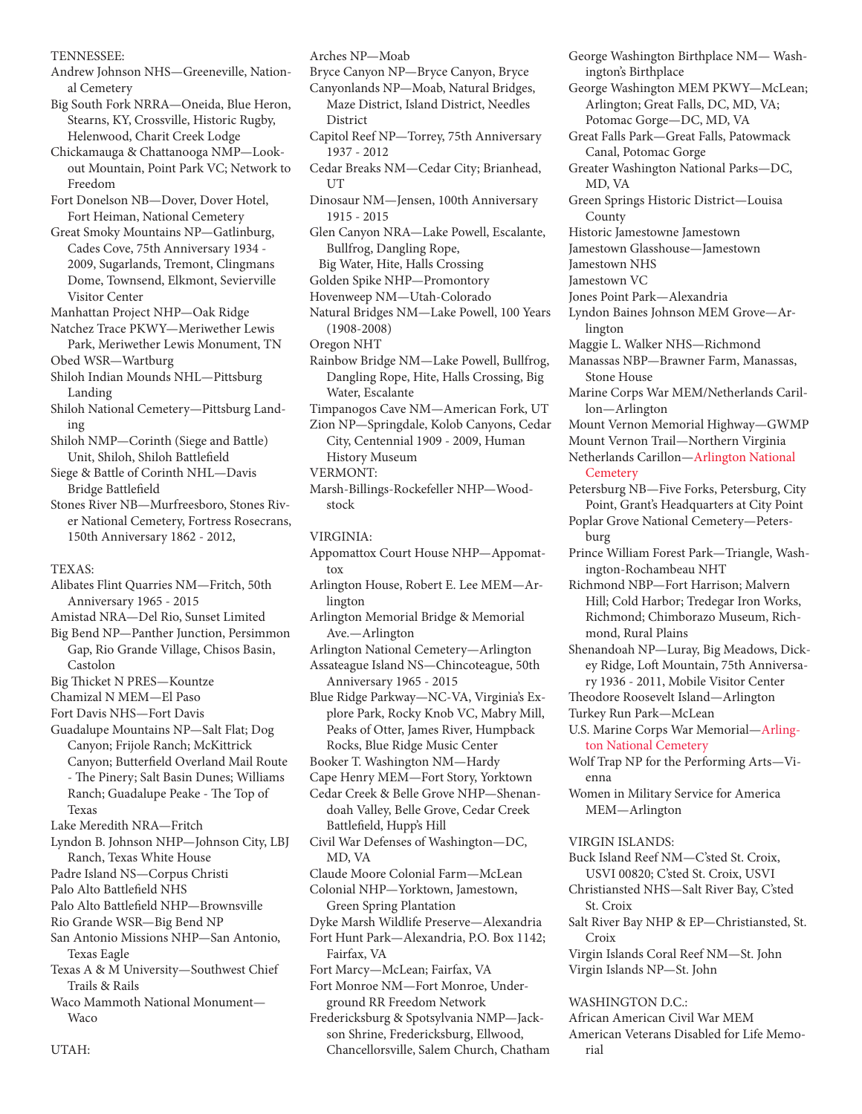TENNESSEE:

- Andrew Johnson NHS—Greeneville, National Cemetery
- Big South Fork NRRA—Oneida, Blue Heron, Stearns, KY, Crossville, Historic Rugby, Helenwood, Charit Creek Lodge
- Chickamauga & Chattanooga NMP—Lookout Mountain, Point Park VC; Network to Freedom
- Fort Donelson NB—Dover, Dover Hotel, Fort Heiman, National Cemetery
- Great Smoky Mountains NP—Gatlinburg, Cades Cove, 75th Anniversary 1934 - 2009, Sugarlands, Tremont, Clingmans Dome, Townsend, Elkmont, Sevierville Visitor Center
- Manhattan Project NHP—Oak Ridge
- Natchez Trace PKWY—Meriwether Lewis Park, Meriwether Lewis Monument, TN Obed WSR—Wartburg
- Shiloh Indian Mounds NHL—Pittsburg Landing
- Shiloh National Cemetery—Pittsburg Landing
- Shiloh NMP—Corinth (Siege and Battle) Unit, Shiloh, Shiloh Battlefield
- Siege & Battle of Corinth NHL—Davis Bridge Battlefield
- Stones River NB—Murfreesboro, Stones River National Cemetery, Fortress Rosecrans, 150th Anniversary 1862 - 2012,
- TEXAS:
- Alibates Flint Quarries NM—Fritch, 50th Anniversary 1965 - 2015
- Amistad NRA—Del Rio, Sunset Limited
- Big Bend NP—Panther Junction, Persimmon Gap, Rio Grande Village, Chisos Basin, Castolon
- Big Thicket N PRES—Kountze
- Chamizal N MEM—El Paso
- Fort Davis NHS—Fort Davis
- Guadalupe Mountains NP—Salt Flat; Dog Canyon; Frijole Ranch; McKittrick Canyon; Butterfield Overland Mail Route - The Pinery; Salt Basin Dunes; Williams Ranch; Guadalupe Peake - The Top of Texas
- Lake Meredith NRA—Fritch
- Lyndon B. Johnson NHP—Johnson City, LBJ Ranch, Texas White House
- Padre Island NS—Corpus Christi
- Palo Alto Battlefield NHS
- Palo Alto Battlefield NHP—Brownsville
- Rio Grande WSR—Big Bend NP
- San Antonio Missions NHP—San Antonio, Texas Eagle
- Texas A & M University—Southwest Chief Trails & Rails
- Waco Mammoth National Monument— **Waco**

Arches NP—Moab

- Bryce Canyon NP—Bryce Canyon, Bryce
- Canyonlands NP—Moab, Natural Bridges, Maze District, Island District, Needles District
- Capitol Reef NP—Torrey, 75th Anniversary 1937 - 2012
- Cedar Breaks NM—Cedar City; Brianhead, UT
- Dinosaur NM—Jensen, 100th Anniversary 1915 - 2015
- Glen Canyon NRA—Lake Powell, Escalante, Bullfrog, Dangling Rope,
- Big Water, Hite, Halls Crossing
- Golden Spike NHP—Promontory
- Hovenweep NM—Utah-Colorado Natural Bridges NM—Lake Powell, 100 Years
- (1908-2008)
- Oregon NHT
- Rainbow Bridge NM—Lake Powell, Bullfrog, Dangling Rope, Hite, Halls Crossing, Big Water, Escalante
- Timpanogos Cave NM—American Fork, UT
- Zion NP—Springdale, Kolob Canyons, Cedar City, Centennial 1909 - 2009, Human History Museum
- VERMONT:
- Marsh-Billings-Rockefeller NHP—Woodstock

VIRGINIA:

- Appomattox Court House NHP—Appomattox
- Arlington House, Robert E. Lee MEM—Arlington
- Arlington Memorial Bridge & Memorial Ave.—Arlington
- Arlington National Cemetery—Arlington
- Assateague Island NS—Chincoteague, 50th Anniversary 1965 - 2015

Blue Ridge Parkway—NC-VA, Virginia's Explore Park, Rocky Knob VC, Mabry Mill, Peaks of Otter, James River, Humpback Rocks, Blue Ridge Music Center

- Booker T. Washington NM—Hardy
- Cape Henry MEM—Fort Story, Yorktown
- Cedar Creek & Belle Grove NHP—Shenandoah Valley, Belle Grove, Cedar Creek Battlefield, Hupp's Hill
- Civil War Defenses of Washington—DC, MD, VA
- Claude Moore Colonial Farm—McLean
- Colonial NHP—Yorktown, Jamestown, Green Spring Plantation
- Dyke Marsh Wildlife Preserve—Alexandria Fort Hunt Park—Alexandria, P.O. Box 1142; Fairfax, VA
- Fort Marcy—McLean; Fairfax, VA
- Fort Monroe NM— Fort Monroe, Underground RR Freedom Network
- Fredericksburg & Spotsylvania NMP—Jackson Shrine, Fredericksburg, Ellwood, Chancellorsville, Salem Church, Chatham

George Washington Birthplace NM— Washington's Birthplace George Washington MEM PKWY—McLean; Arlington; Great Falls, DC, MD, VA; Potomac Gorge-DC, MD, VA Great Falls Park—Great Falls, Patowmack Canal, Potomac Gorge Greater Washington National Parks—DC, MD, VA Green Springs Historic District—Louisa County Historic Jamestowne Jamestown Jamestown Glasshouse—Jamestown Jamestown NHS Jamestown VC Jones Point Park—Alexandria Lyndon Baines Johnson MEM Grove—Arlington Maggie L. Walker NHS—Richmond Manassas NBP—Brawner Farm, Manassas, Stone House Marine Corps War MEM/Netherlands Carillon—Arlington Mount Vernon Memorial Highway—GWMP Mount Vernon Trail—Northern Virginia Netherlands Carillon—Arlington National **Cemetery** Petersburg NB—Five Forks, Petersburg, City Point, Grant's Headquarters at City Point Poplar Grove National Cemetery—Petersburg Prince William Forest Park—Triangle, Washington-Rochambeau NHT Richmond NBP—Fort Harrison; Malvern Hill; Cold Harbor; Tredegar Iron Works, Richmond; Chimborazo Museum, Richmond, Rural Plains Shenandoah NP—Luray, Big Meadows, Dickey Ridge, Loft Mountain, 75th Anniversary 1936 - 2011, Mobile Visitor Center Theodore Roosevelt Island—Arlington Turkey Run Park—McLean U.S. Marine Corps War Memorial—Arlington National Cemetery Wolf Trap NP for the Performing Arts—Vienna Women in Military Service for America MEM—Arlington VIRGIN ISLANDS: Buck Island Reef NM—C'sted St. Croix, USVI 00820; C'sted St. Croix, USVI Christiansted NHS—Salt River Bay, C'sted St. Croix Salt River Bay NHP & EP—Christiansted, St. Croix

Virgin Islands Coral Reef NM—St. John Virgin Islands NP—St. John

WASHINGTON D.C.: African American Civil War MEM

American Veterans Disabled for Life Memorial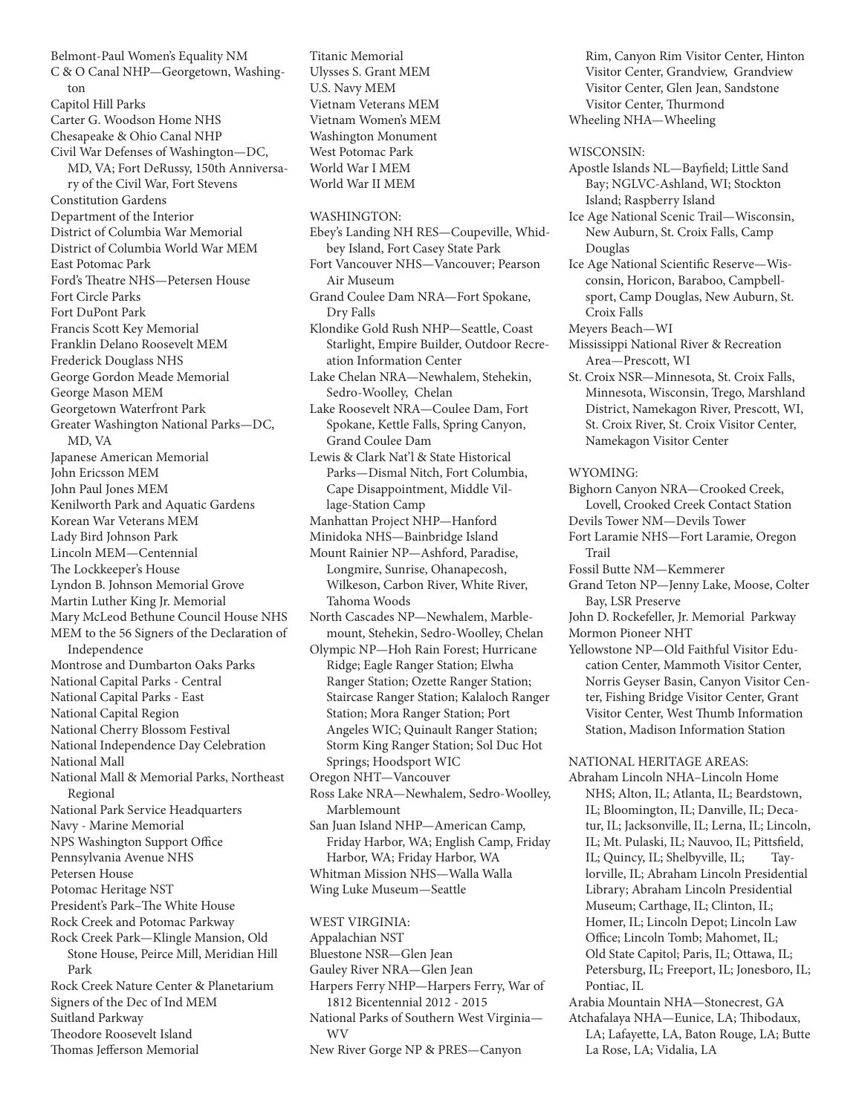Belmont-Paul Women's Equality NM C & O Canal NHP—Georgetown, Washington Capitol Hill Parks Carter G. Woodson Home NHS Chesapeake & Ohio Canal NHP Civil War Defenses of Washington—DC, MD, VA; Fort DeRussy, 150th Anniversary of the Civil War, Fort Stevens Constitution Gardens Department of the Interior District of Columbia War Memorial District of Columbia World War MEM East Potomac Park Ford's Theatre NHS—Petersen House Fort Circle Parks Fort DuPont Park Francis Scott Key Memorial Franklin Delano Roosevelt MEM Frederick Douglass NHS George Gordon Meade Memorial George Mason MEM Georgetown Waterfront Park Greater Washington National Parks—DC, MD, VA Japanese American Memorial John Ericsson MEM John Paul Jones MEM Kenilworth Park and Aquatic Gardens Korean War Veterans MEM Lady Bird Johnson Park Lincoln MEM—Centennial The Lockkeeper's House Lyndon B. Johnson Memorial Grove Martin Luther King Jr. Memorial Mary McLeod Bethune Council House NHS MEM to the 56 Signers of the Declaration of Independence Montrose and Dumbarton Oaks Parks National Capital Parks - Central National Capital Parks - East National Capital Region National Cherry Blossom Festival National Independence Day Celebration National Mall National Mall & Memorial Parks, Northeast Regional National Park Service Headquarters Navy - Marine Memorial NPS Washington Support Office Pennsylvania Avenue NHS Petersen House Potomac Heritage NST President's Park–The White House Rock Creek and Potomac Parkway Rock Creek Park—Klingle Mansion, Old Stone House, Peirce Mill, Meridian Hill Park Rock Creek Nature Center & Planetarium Signers of the Dec of Ind MEM Suitland Parkway Theodore Roosevelt Island Thomas Jefferson Memorial

Titanic Memorial Ulysses S. Grant MEM U.S. Navy MEM Vietnam Veterans MEM Vietnam Women's MEM Washington Monument West Potomac Park World War I MEM World War II MEM

WASHINGTON:

Ebey's Landing NH RES—Coupeville, Whidbey Island, Fort Casey State Park Fort Vancouver NHS—Vancouver; Pearson Air Museum Grand Coulee Dam NRA—Fort Spokane, Dry Falls Klondike Gold Rush NHP—Seattle, Coast Starlight, Empire Builder, Outdoor Recreation Information Center Lake Chelan NRA—Newhalem, Stehekin, Sedro-Woolley, Chelan Lake Roosevelt NRA—Coulee Dam, Fort Spokane, Kettle Falls, Spring Canyon, Grand Coulee Dam Lewis & Clark Nat'l & State Historical Parks—Dismal Nitch, Fort Columbia, Cape Disappointment, Middle Village-Station Camp Manhattan Project NHP—Hanford Minidoka NHS—Bainbridge Island Mount Rainier NP—Ashford, Paradise, Longmire, Sunrise, Ohanapecosh, Wilkeson, Carbon River, White River, Tahoma Woods North Cascades NP—Newhalem, Marblemount, Stehekin, Sedro-Woolley, Chelan Olympic NP—Hoh Rain Forest; Hurricane Ridge; Eagle Ranger Station; Elwha Ranger Station; Ozette Ranger Station; Staircase Ranger Station; Kalaloch Ranger Station; Mora Ranger Station; Port Angeles WIC; Quinault Ranger Station; Storm King Ranger Station; Sol Duc Hot Springs; Hoodsport WIC Oregon NHT—Vancouver Ross Lake NRA—Newhalem, Sedro-Woolley, Marblemount San Juan Island NHP—American Camp, Friday Harbor, WA; English Camp, Friday Harbor, WA; Friday Harbor, WA Whitman Mission NHS—Walla Walla Wing Luke Museum—Seattle WEST VIRGINIA: Appalachian NST Bluestone NSR—Glen Jean

Gauley River NRA—Glen Jean

Harpers Ferry NHP—Harpers Ferry, War of 1812 Bicentennial 2012 - 2015 National Parks of Southern West Virginia—

WV

New River Gorge NP & PRES—Canyon

Rim, Canyon Rim Visitor Center, Hinton Visitor Center, Grandview, Grandview Visitor Center, Glen Jean, Sandstone Visitor Center, Thurmond Wheeling NHA—Wheeling

WISCONSIN:

Apostle Islands NL—Bayfield; Little Sand Bay; NGLVC-Ashland, WI; Stockton Island; Raspberry Island

- Ice Age National Scenic Trail—Wisconsin, New Auburn, St. Croix Falls, Camp Douglas
- Ice Age National Scientific Reserve—Wisconsin, Horicon, Baraboo, Campbellsport, Camp Douglas, New Auburn, St. Croix Falls

Meyers Beach—WI

Mississippi National River & Recreation Area—Prescott, WI

St. Croix NSR—Minnesota, St. Croix Falls, Minnesota, Wisconsin, Trego, Marshland District, Namekagon River, Prescott, WI, St. Croix River, St. Croix Visitor Center, Namekagon Visitor Center

WYOMING:

Bighorn Canyon NRA—Crooked Creek, Lovell, Crooked Creek Contact Station

Devils Tower NM—Devils Tower

Fort Laramie NHS—Fort Laramie, Oregon Trail

Fossil Butte NM—Kemmerer

Grand Teton NP—Jenny Lake, Moose, Colter Bay, LSR Preserve

John D. Rockefeller, Jr. Memorial Parkway Mormon Pioneer NHT

Yellowstone NP—Old Faithful Visitor Education Center, Mammoth Visitor Center, Norris Geyser Basin, Canyon Visitor Center, Fishing Bridge Visitor Center, Grant Visitor Center, West Thumb Information Station, Madison Information Station

NATIONAL HERITAGE AREAS:

Abraham Lincoln NHA–Lincoln Home NHS; Alton, IL; Atlanta, IL; Beardstown, IL; Bloomington, IL; Danville, IL; Decatur, IL; Jacksonville, IL; Lerna, IL; Lincoln, IL; Mt. Pulaski, IL; Nauvoo, IL; Pittsfield, IL; Quincy, IL; Shelbyville, IL; Taylorville, IL; Abraham Lincoln Presidential Library; Abraham Lincoln Presidential Museum; Carthage, IL; Clinton, IL; Homer, IL; Lincoln Depot; Lincoln Law Office; Lincoln Tomb; Mahomet, IL; Old State Capitol; Paris, IL; Ottawa, IL; Petersburg, IL; Freeport, IL; Jonesboro, IL; Pontiac, IL

Arabia Mountain NHA—Stonecrest, GA

Atchafalaya NHA—Eunice, LA; Thibodaux, LA; Lafayette, LA, Baton Rouge, LA; Butte La Rose, LA; Vidalia, LA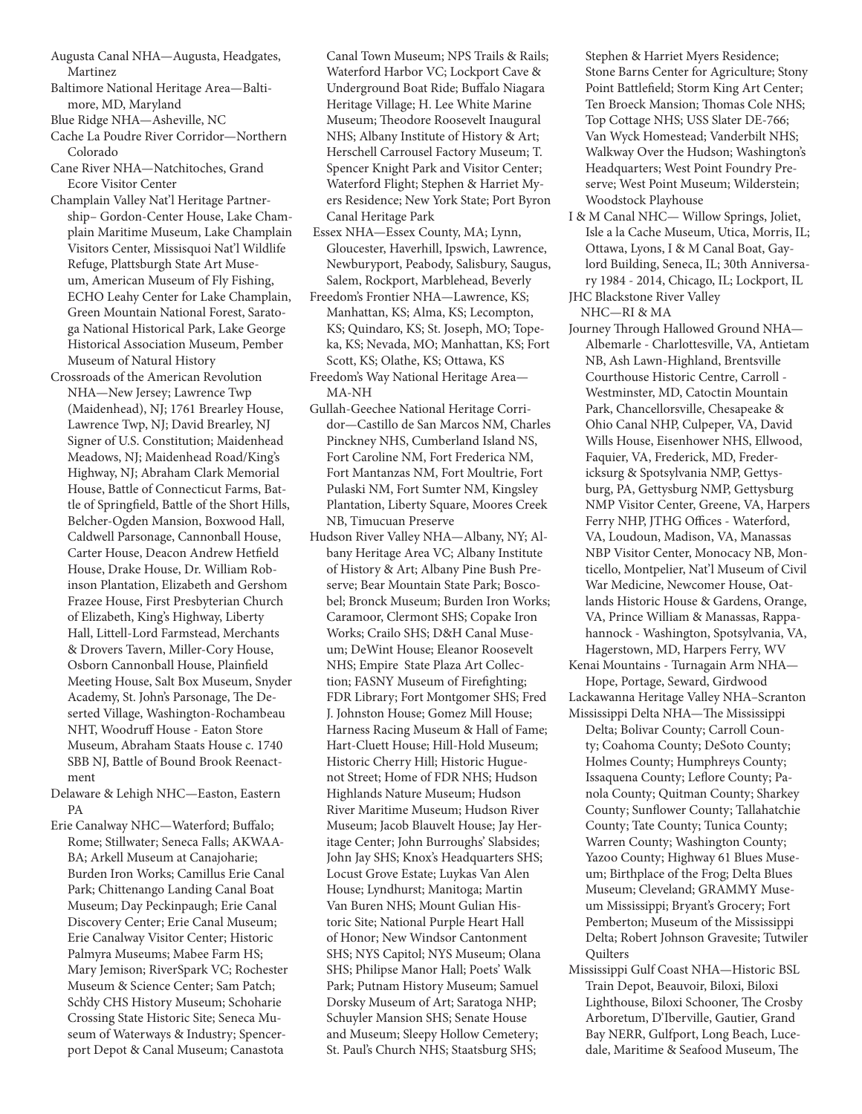- Augusta Canal NHA—Augusta, Headgates, Martinez
- Baltimore National Heritage Area—Baltimore, MD, Maryland
- Blue Ridge NHA—Asheville, NC
- Cache La Poudre River Corridor—Northern Colorado
- Cane River NHA—Natchitoches, Grand Ecore Visitor Center
- Champlain Valley Nat'l Heritage Partnership– Gordon-Center House, Lake Champlain Maritime Museum, Lake Champlain Visitors Center, Missisquoi Nat'l Wildlife Refuge, Plattsburgh State Art Museum, American Museum of Fly Fishing, ECHO Leahy Center for Lake Champlain, Green Mountain National Forest, Saratoga National Historical Park, Lake George Historical Association Museum, Pember Museum of Natural History
- Crossroads of the American Revolution NHA—New Jersey; Lawrence Twp (Maidenhead), NJ; 1761 Brearley House, Lawrence Twp, NJ; David Brearley, NJ Signer of U.S. Constitution; Maidenhead Meadows, NJ; Maidenhead Road/King's Highway, NJ; Abraham Clark Memorial House, Battle of Connecticut Farms, Battle of Springfield, Battle of the Short Hills, Belcher-Ogden Mansion, Boxwood Hall, Caldwell Parsonage, Cannonball House, Carter House, Deacon Andrew Hetfield House, Drake House, Dr. William Robinson Plantation, Elizabeth and Gershom Frazee House, First Presbyterian Church of Elizabeth, King's Highway, Liberty Hall, Littell-Lord Farmstead, Merchants & Drovers Tavern, Miller-Cory House, Osborn Cannonball House, Plainfield Meeting House, Salt Box Museum, Snyder Academy, St. John's Parsonage, The Deserted Village, Washington-Rochambeau NHT, Woodruff House - Eaton Store Museum, Abraham Staats House c. 1740 SBB NJ, Battle of Bound Brook Reenactment

Delaware & Lehigh NHC—Easton, Eastern PA

Erie Canalway NHC—Waterford; Buffalo; Rome; Stillwater; Seneca Falls; AKWAA-BA; Arkell Museum at Canajoharie; Burden Iron Works; Camillus Erie Canal Park; Chittenango Landing Canal Boat Museum; Day Peckinpaugh; Erie Canal Discovery Center; Erie Canal Museum; Erie Canalway Visitor Center; Historic Palmyra Museums; Mabee Farm HS; Mary Jemison; RiverSpark VC; Rochester Museum & Science Center; Sam Patch; Sch'dy CHS History Museum; Schoharie Crossing State Historic Site; Seneca Museum of Waterways & Industry; Spencerport Depot & Canal Museum; Canastota

Canal Town Museum; NPS Trails & Rails; Waterford Harbor VC; Lockport Cave & Underground Boat Ride; Buffalo Niagara Heritage Village; H. Lee White Marine Museum; Theodore Roosevelt Inaugural NHS; Albany Institute of History & Art; Herschell Carrousel Factory Museum; T. Spencer Knight Park and Visitor Center; Waterford Flight; Stephen & Harriet Myers Residence; New York State; Port Byron Canal Heritage Park

- Essex NHA—Essex County, MA; Lynn, Gloucester, Haverhill, Ipswich, Lawrence, Newburyport, Peabody, Salisbury, Saugus, Salem, Rockport, Marblehead, Beverly
- Freedom's Frontier NHA—Lawrence, KS; Manhattan, KS; Alma, KS; Lecompton, KS; Quindaro, KS; St. Joseph, MO; Topeka, KS; Nevada, MO; Manhattan, KS; Fort Scott, KS; Olathe, KS; Ottawa, KS
- Freedom's Way National Heritage Area-MA-NH
- Gullah-Geechee National Heritage Corridor—Castillo de San Marcos NM, Charles Pinckney NHS, Cumberland Island NS, Fort Caroline NM, Fort Frederica NM, Fort Mantanzas NM, Fort Moultrie, Fort Pulaski NM, Fort Sumter NM, Kingsley Plantation, Liberty Square, Moores Creek NB, Timucuan Preserve
- Hudson River Valley NHA—Albany, NY; Albany Heritage Area VC; Albany Institute of History & Art; Albany Pine Bush Preserve; Bear Mountain State Park; Boscobel; Bronck Museum; Burden Iron Works; Caramoor, Clermont SHS; Copake Iron Works; Crailo SHS; D&H Canal Museum; DeWint House; Eleanor Roosevelt NHS; Empire State Plaza Art Collection; FASNY Museum of Firefighting; FDR Library; Fort Montgomer SHS; Fred J. Johnston House; Gomez Mill House; Harness Racing Museum & Hall of Fame; Hart-Cluett House; Hill-Hold Museum; Historic Cherry Hill; Historic Huguenot Street; Home of FDR NHS; Hudson Highlands Nature Museum; Hudson River Maritime Museum; Hudson River Museum; Jacob Blauvelt House; Jay Heritage Center; John Burroughs' Slabsides; John Jay SHS; Knox's Headquarters SHS; Locust Grove Estate; Luykas Van Alen House; Lyndhurst; Manitoga; Martin Van Buren NHS; Mount Gulian Historic Site; National Purple Heart Hall of Honor; New Windsor Cantonment SHS; NYS Capitol; NYS Museum; Olana SHS; Philipse Manor Hall; Poets' Walk Park; Putnam History Museum; Samuel Dorsky Museum of Art; Saratoga NHP; Schuyler Mansion SHS; Senate House and Museum; Sleepy Hollow Cemetery; St. Paul's Church NHS; Staatsburg SHS;
- Stephen & Harriet Myers Residence; Stone Barns Center for Agriculture; Stony Point Battlefield; Storm King Art Center; Ten Broeck Mansion; Thomas Cole NHS; Top Cottage NHS; USS Slater DE-766; Van Wyck Homestead; Vanderbilt NHS; Walkway Over the Hudson; Washington's Headquarters; West Point Foundry Preserve; West Point Museum; Wilderstein; Woodstock Playhouse
- I & M Canal NHC— Willow Springs, Joliet, Isle a la Cache Museum, Utica, Morris, IL; Ottawa, Lyons, I & M Canal Boat, Gaylord Building, Seneca, IL; 30th Anniversary 1984 - 2014, Chicago, IL; Lockport, IL
- JHC Blackstone River Valley NHC—RI & MA
- Journey Through Hallowed Ground NHA— Albemarle - Charlottesville, VA, Antietam NB, Ash Lawn-Highland, Brentsville Courthouse Historic Centre, Carroll - Westminster, MD, Catoctin Mountain Park, Chancellorsville, Chesapeake & Ohio Canal NHP, Culpeper, VA, David Wills House, Eisenhower NHS, Ellwood, Faquier, VA, Frederick, MD, Fredericksurg & Spotsylvania NMP, Gettysburg, PA, Gettysburg NMP, Gettysburg NMP Visitor Center, Greene, VA, Harpers Ferry NHP, JTHG Offices - Waterford, VA, Loudoun, Madison, VA, Manassas NBP Visitor Center, Monocacy NB, Monticello, Montpelier, Nat'l Museum of Civil War Medicine, Newcomer House, Oatlands Historic House & Gardens, Orange, VA, Prince William & Manassas, Rappahannock - Washington, Spotsylvania, VA, Hagerstown, MD, Harpers Ferry, WV
- Kenai Mountains Turnagain Arm NHA— Hope, Portage, Seward, Girdwood
- Lackawanna Heritage Valley NHA-Scranton Mississippi Delta NHA—The Mississippi
	- Delta; Bolivar County; Carroll County; Coahoma County; DeSoto County; Holmes County; Humphreys County; Issaquena County; Leflore County; Panola County; Quitman County; Sharkey County; Sunflower County; Tallahatchie County; Tate County; Tunica County; Warren County; Washington County; Yazoo County; Highway 61 Blues Museum; Birthplace of the Frog; Delta Blues Museum; Cleveland; GRAMMY Museum Mississippi; Bryant's Grocery; Fort Pemberton; Museum of the Mississippi Delta; Robert Johnson Gravesite; Tutwiler **Ouilters**
- Mississippi Gulf Coast NHA—Historic BSL Train Depot, Beauvoir, Biloxi, Biloxi Lighthouse, Biloxi Schooner, The Crosby Arboretum, D'Iberville, Gautier, Grand Bay NERR, Gulfport, Long Beach, Lucedale, Maritime & Seafood Museum, The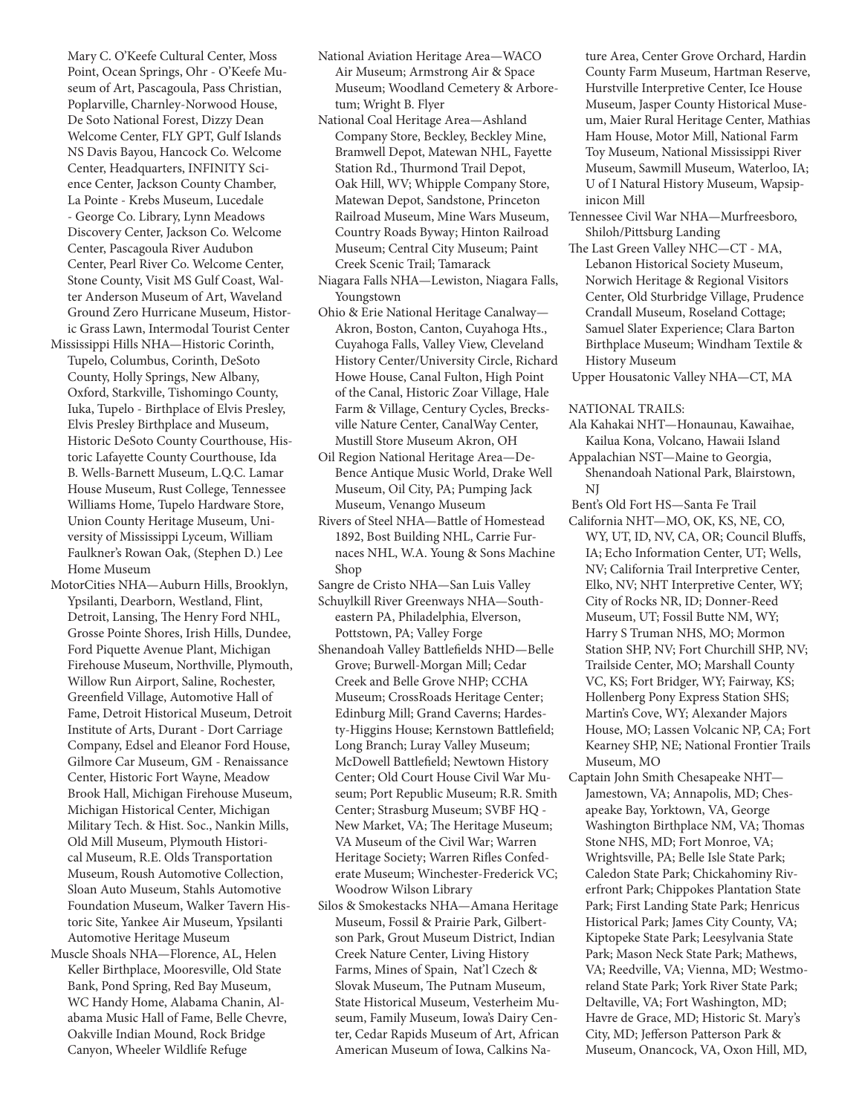Mary C. O'Keefe Cultural Center, Moss Point, Ocean Springs, Ohr - O'Keefe Museum of Art, Pascagoula, Pass Christian, Poplarville, Charnley-Norwood House, De Soto National Forest, Dizzy Dean Welcome Center, FLY GPT, Gulf Islands NS Davis Bayou, Hancock Co. Welcome Center, Headquarters, INFINITY Science Center, Jackson County Chamber, La Pointe - Krebs Museum, Lucedale - George Co. Library, Lynn Meadows Discovery Center, Jackson Co. Welcome Center, Pascagoula River Audubon Center, Pearl River Co. Welcome Center, Stone County, Visit MS Gulf Coast, Walter Anderson Museum of Art, Waveland Ground Zero Hurricane Museum, Historic Grass Lawn, Intermodal Tourist Center

- Mississippi Hills NHA—Historic Corinth, Tupelo, Columbus, Corinth, DeSoto County, Holly Springs, New Albany, Oxford, Starkville, Tishomingo County, Iuka, Tupelo - Birthplace of Elvis Presley, Elvis Presley Birthplace and Museum, Historic DeSoto County Courthouse, Historic Lafayette County Courthouse, Ida B. Wells-Barnett Museum, L.Q.C. Lamar House Museum, Rust College, Tennessee Williams Home, Tupelo Hardware Store, Union County Heritage Museum, University of Mississippi Lyceum, William Faulkner's Rowan Oak, (Stephen D.) Lee Home Museum
- MotorCities NHA—Auburn Hills, Brooklyn, Ypsilanti, Dearborn, Westland, Flint, Detroit, Lansing, The Henry Ford NHL, Grosse Pointe Shores, Irish Hills, Dundee, Ford Piquette Avenue Plant, Michigan Firehouse Museum, Northville, Plymouth, Willow Run Airport, Saline, Rochester, Greenfield Village, Automotive Hall of Fame, Detroit Historical Museum, Detroit Institute of Arts, Durant - Dort Carriage Company, Edsel and Eleanor Ford House, Gilmore Car Museum, GM - Renaissance Center, Historic Fort Wayne, Meadow Brook Hall, Michigan Firehouse Museum, Michigan Historical Center, Michigan Military Tech. & Hist. Soc., Nankin Mills, Old Mill Museum, Plymouth Historical Museum, R.E. Olds Transportation Museum, Roush Automotive Collection, Sloan Auto Museum, Stahls Automotive Foundation Museum, Walker Tavern Historic Site, Yankee Air Museum, Ypsilanti Automotive Heritage Museum
- Muscle Shoals NHA—Florence, AL, Helen Keller Birthplace, Mooresville, Old State Bank, Pond Spring, Red Bay Museum, WC Handy Home, Alabama Chanin, Alabama Music Hall of Fame, Belle Chevre, Oakville Indian Mound, Rock Bridge Canyon, Wheeler Wildlife Refuge
- National Aviation Heritage Area—WACO Air Museum; Armstrong Air & Space Museum; Woodland Cemetery & Arboretum; Wright B. Flyer
- National Coal Heritage Area—Ashland Company Store, Beckley, Beckley Mine, Bramwell Depot, Matewan NHL, Fayette Station Rd., Thurmond Trail Depot, Oak Hill, WV; Whipple Company Store, Matewan Depot, Sandstone, Princeton Railroad Museum, Mine Wars Museum, Country Roads Byway; Hinton Railroad Museum; Central City Museum; Paint Creek Scenic Trail; Tamarack
- Niagara Falls NHA—Lewiston, Niagara Falls, Youngstown
- Ohio & Erie National Heritage Canalway— Akron, Boston, Canton, Cuyahoga Hts., Cuyahoga Falls, Valley View, Cleveland History Center/University Circle, Richard Howe House, Canal Fulton, High Point of the Canal, Historic Zoar Village, Hale Farm & Village, Century Cycles, Brecksville Nature Center, CanalWay Center, Mustill Store Museum Akron, OH
- Oil Region National Heritage Area—De-Bence Antique Music World, Drake Well Museum, Oil City, PA; Pumping Jack Museum, Venango Museum
- Rivers of Steel NHA—Battle of Homestead 1892, Bost Building NHL, Carrie Furnaces NHL, W.A. Young & Sons Machine Shop
- Sangre de Cristo NHA—San Luis Valley
- Schuylkill River Greenways NHA—Southeastern PA, Philadelphia, Elverson, Pottstown, PA; Valley Forge
- Shenandoah Valley Battlefields NHD—Belle Grove; Burwell-Morgan Mill; Cedar Creek and Belle Grove NHP; CCHA Museum; CrossRoads Heritage Center; Edinburg Mill; Grand Caverns; Hardesty-Higgins House; Kernstown Battlefield; Long Branch; Luray Valley Museum; McDowell Battlefield; Newtown History Center; Old Court House Civil War Museum; Port Republic Museum; R.R. Smith Center; Strasburg Museum; SVBF HQ - New Market, VA; The Heritage Museum; VA Museum of the Civil War; Warren Heritage Society; Warren Rifles Confederate Museum; Winchester-Frederick VC; Woodrow Wilson Library
- Silos & Smokestacks NHA—Amana Heritage Museum, Fossil & Prairie Park, Gilbertson Park, Grout Museum District, Indian Creek Nature Center, Living History Farms, Mines of Spain, Nat'l Czech & Slovak Museum, The Putnam Museum, State Historical Museum, Vesterheim Museum, Family Museum, Iowa's Dairy Center, Cedar Rapids Museum of Art, African American Museum of Iowa, Calkins Na-
- ture Area, Center Grove Orchard, Hardin County Farm Museum, Hartman Reserve, Hurstville Interpretive Center, Ice House Museum, Jasper County Historical Museum, Maier Rural Heritage Center, Mathias Ham House, Motor Mill, National Farm Toy Museum, National Mississippi River Museum, Sawmill Museum, Waterloo, IA; U of I Natural History Museum, Wapsipinicon Mill
- Tennessee Civil War NHA—Murfreesboro, Shiloh/Pittsburg Landing
- The Last Green Valley NHC—CT MA, Lebanon Historical Society Museum, Norwich Heritage & Regional Visitors Center, Old Sturbridge Village, Prudence Crandall Museum, Roseland Cottage; Samuel Slater Experience; Clara Barton Birthplace Museum; Windham Textile & History Museum
- Upper Housatonic Valley NHA—CT, MA

NATIONAL TRAILS:

- Ala Kahakai NHT—Honaunau, Kawaihae, Kailua Kona, Volcano, Hawaii Island
- Appalachian NST—Maine to Georgia, Shenandoah National Park, Blairstown, NJ
- Bent's Old Fort HS—Santa Fe Trail
- California NHT—MO, OK, KS, NE, CO, WY, UT, ID, NV, CA, OR; Council Bluffs, IA; Echo Information Center, UT; Wells, NV; California Trail Interpretive Center, Elko, NV; NHT Interpretive Center, WY; City of Rocks NR, ID; Donner-Reed Museum, UT; Fossil Butte NM, WY; Harry S Truman NHS, MO; Mormon Station SHP, NV; Fort Churchill SHP, NV; Trailside Center, MO; Marshall County VC, KS; Fort Bridger, WY; Fairway, KS; Hollenberg Pony Express Station SHS; Martin's Cove, WY; Alexander Majors House, MO; Lassen Volcanic NP, CA; Fort Kearney SHP, NE; National Frontier Trails Museum, MO
- Captain John Smith Chesapeake NHT— Jamestown, VA; Annapolis, MD; Chesapeake Bay, Yorktown, VA, George Washington Birthplace NM, VA; Thomas Stone NHS, MD; Fort Monroe, VA; Wrightsville, PA; Belle Isle State Park; Caledon State Park; Chickahominy Riverfront Park; Chippokes Plantation State Park; First Landing State Park; Henricus Historical Park; James City County, VA; Kiptopeke State Park; Leesylvania State Park; Mason Neck State Park; Mathews, VA; Reedville, VA; Vienna, MD; Westmoreland State Park; York River State Park; Deltaville, VA; Fort Washington, MD; Havre de Grace, MD; Historic St. Mary's City, MD; Jefferson Patterson Park & Museum, Onancock, VA, Oxon Hill, MD,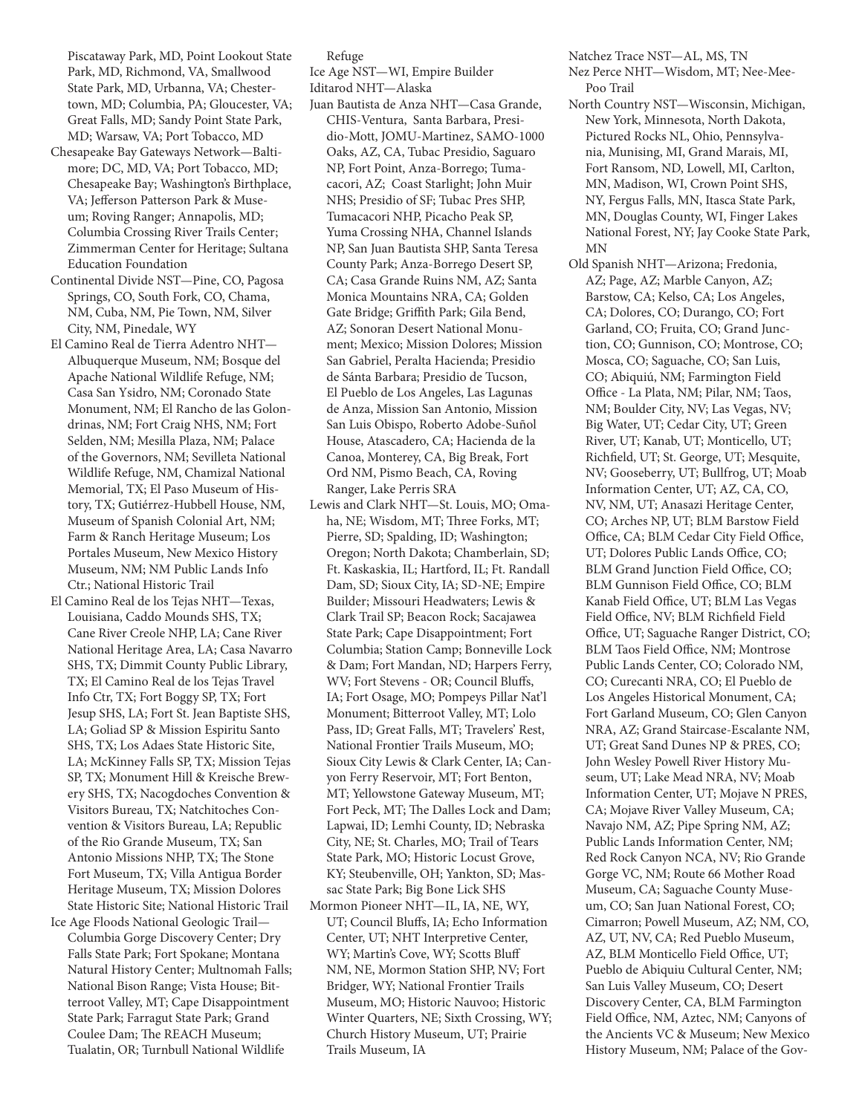Piscataway Park, MD, Point Lookout State Park, MD, Richmond, VA, Smallwood State Park, MD, Urbanna, VA; Chestertown, MD; Columbia, PA; Gloucester, VA; Great Falls, MD; Sandy Point State Park, MD; Warsaw, VA; Port Tobacco, MD

- Chesapeake Bay Gateways Network—Baltimore; DC, MD, VA; Port Tobacco, MD; Chesapeake Bay; Washington's Birthplace, VA; Jefferson Patterson Park & Museum; Roving Ranger; Annapolis, MD; Columbia Crossing River Trails Center; Zimmerman Center for Heritage; Sultana Education Foundation
- Continental Divide NST—Pine, CO, Pagosa Springs, CO, South Fork, CO, Chama, NM, Cuba, NM, Pie Town, NM, Silver City, NM, Pinedale, WY
- El Camino Real de Tierra Adentro NHT— Albuquerque Museum, NM; Bosque del Apache National Wildlife Refuge, NM; Casa San Ysidro, NM; Coronado State Monument, NM; El Rancho de las Golondrinas, NM; Fort Craig NHS, NM; Fort Selden, NM; Mesilla Plaza, NM; Palace of the Governors, NM; Sevilleta National Wildlife Refuge, NM, Chamizal National Memorial, TX; El Paso Museum of History, TX; Gutiérrez-Hubbell House, NM, Museum of Spanish Colonial Art, NM; Farm & Ranch Heritage Museum; Los Portales Museum, New Mexico History Museum, NM; NM Public Lands Info Ctr.; National Historic Trail
- El Camino Real de los Tejas NHT—Texas, Louisiana, Caddo Mounds SHS, TX; Cane River Creole NHP, LA; Cane River National Heritage Area, LA; Casa Navarro SHS, TX; Dimmit County Public Library, TX; El Camino Real de los Tejas Travel Info Ctr, TX; Fort Boggy SP, TX; Fort Jesup SHS, LA; Fort St. Jean Baptiste SHS, LA; Goliad SP & Mission Espiritu Santo SHS, TX; Los Adaes State Historic Site, LA; McKinney Falls SP, TX; Mission Tejas SP, TX; Monument Hill & Kreische Brewery SHS, TX; Nacogdoches Convention & Visitors Bureau, TX; Natchitoches Convention & Visitors Bureau, LA; Republic of the Rio Grande Museum, TX; San Antonio Missions NHP, TX; The Stone Fort Museum, TX; Villa Antigua Border Heritage Museum, TX; Mission Dolores State Historic Site; National Historic Trail
- Ice Age Floods National Geologic Trail— Columbia Gorge Discovery Center; Dry Falls State Park; Fort Spokane; Montana Natural History Center; Multnomah Falls; National Bison Range; Vista House; Bitterroot Valley, MT; Cape Disappointment State Park; Farragut State Park; Grand Coulee Dam; The REACH Museum; Tualatin, OR; Turnbull National Wildlife

Refuge

Ice Age NST—WI, Empire Builder Iditarod NHT—Alaska

- Juan Bautista de Anza NHT—Casa Grande, CHIS-Ventura, Santa Barbara, Presidio-Mott, JOMU-Martinez, SAMO-1000 Oaks, AZ, CA, Tubac Presidio, Saguaro NP, Fort Point, Anza-Borrego; Tumacacori, AZ; Coast Starlight; John Muir NHS; Presidio of SF; Tubac Pres SHP, Tumacacori NHP, Picacho Peak SP, Yuma Crossing NHA, Channel Islands NP, San Juan Bautista SHP, Santa Teresa County Park; Anza-Borrego Desert SP, CA; Casa Grande Ruins NM, AZ; Santa Monica Mountains NRA, CA; Golden Gate Bridge; Griffith Park; Gila Bend, AZ; Sonoran Desert National Monument; Mexico; Mission Dolores; Mission San Gabriel, Peralta Hacienda; Presidio de Sánta Barbara; Presidio de Tucson, El Pueblo de Los Angeles, Las Lagunas de Anza, Mission San Antonio, Mission San Luis Obispo, Roberto Adobe-Suñol House, Atascadero, CA; Hacienda de la Canoa, Monterey, CA, Big Break, Fort Ord NM, Pismo Beach, CA, Roving Ranger, Lake Perris SRA
- Lewis and Clark NHT—St. Louis, MO; Omaha, NE; Wisdom, MT; Three Forks, MT; Pierre, SD; Spalding, ID; Washington; Oregon; North Dakota; Chamberlain, SD; Ft. Kaskaskia, IL; Hartford, IL; Ft. Randall Dam, SD; Sioux City, IA; SD-NE; Empire Builder; Missouri Headwaters; Lewis & Clark Trail SP; Beacon Rock; Sacajawea State Park; Cape Disappointment; Fort Columbia; Station Camp; Bonneville Lock & Dam; Fort Mandan, ND; Harpers Ferry, WV; Fort Stevens - OR; Council Bluffs, IA; Fort Osage, MO; Pompeys Pillar Nat'l Monument; Bitterroot Valley, MT; Lolo Pass, ID; Great Falls, MT; Travelers' Rest, National Frontier Trails Museum, MO; Sioux City Lewis & Clark Center, IA; Canyon Ferry Reservoir, MT; Fort Benton, MT; Yellowstone Gateway Museum, MT; Fort Peck, MT; The Dalles Lock and Dam; Lapwai, ID; Lemhi County, ID; Nebraska City, NE; St. Charles, MO; Trail of Tears State Park, MO; Historic Locust Grove, KY; Steubenville, OH; Yankton, SD; Massac State Park; Big Bone Lick SHS
- Mormon Pioneer NHT—IL, IA, NE, WY, UT; Council Bluffs, IA; Echo Information Center, UT; NHT Interpretive Center, WY; Martin's Cove, WY; Scotts Bluff NM, NE, Mormon Station SHP, NV; Fort Bridger, WY; National Frontier Trails Museum, MO; Historic Nauvoo; Historic Winter Quarters, NE; Sixth Crossing, WY; Church History Museum, UT; Prairie Trails Museum, IA

Natchez Trace NST—AL, MS, TN

- Nez Perce NHT—Wisdom, MT; Nee-Mee-Poo Trail
- North Country NST—Wisconsin, Michigan, New York, Minnesota, North Dakota, Pictured Rocks NL, Ohio, Pennsylvania, Munising, MI, Grand Marais, MI, Fort Ransom, ND, Lowell, MI, Carlton, MN, Madison, WI, Crown Point SHS, NY, Fergus Falls, MN, Itasca State Park, MN, Douglas County, WI, Finger Lakes National Forest, NY; Jay Cooke State Park, MN
- Old Spanish NHT—Arizona; Fredonia, AZ; Page, AZ; Marble Canyon, AZ; Barstow, CA; Kelso, CA; Los Angeles, CA; Dolores, CO; Durango, CO; Fort Garland, CO; Fruita, CO; Grand Junction, CO; Gunnison, CO; Montrose, CO; Mosca, CO; Saguache, CO; San Luis, CO; Abiquiú, NM; Farmington Field Office - La Plata, NM; Pilar, NM; Taos, NM; Boulder City, NV; Las Vegas, NV; Big Water, UT; Cedar City, UT; Green River, UT; Kanab, UT; Monticello, UT; Richfield, UT; St. George, UT; Mesquite, NV; Gooseberry, UT; Bullfrog, UT; Moab Information Center, UT; AZ, CA, CO, NV, NM, UT; Anasazi Heritage Center, CO; Arches NP, UT; BLM Barstow Field Office, CA; BLM Cedar City Field Office, UT; Dolores Public Lands Office, CO; BLM Grand Junction Field Office, CO; BLM Gunnison Field Office, CO; BLM Kanab Field Office, UT; BLM Las Vegas Field Office, NV; BLM Richfield Field Office, UT; Saguache Ranger District, CO; BLM Taos Field Office, NM; Montrose Public Lands Center, CO; Colorado NM, CO; Curecanti NRA, CO; El Pueblo de Los Angeles Historical Monument, CA; Fort Garland Museum, CO; Glen Canyon NRA, AZ; Grand Staircase-Escalante NM, UT; Great Sand Dunes NP & PRES, CO; John Wesley Powell River History Museum, UT; Lake Mead NRA, NV; Moab Information Center, UT; Mojave N PRES, CA; Mojave River Valley Museum, CA; Navajo NM, AZ; Pipe Spring NM, AZ; Public Lands Information Center, NM; Red Rock Canyon NCA, NV; Rio Grande Gorge VC, NM; Route 66 Mother Road Museum, CA; Saguache County Museum, CO; San Juan National Forest, CO; Cimarron; Powell Museum, AZ; NM, CO, AZ, UT, NV, CA; Red Pueblo Museum, AZ, BLM Monticello Field Office, UT; Pueblo de Abiquiu Cultural Center, NM; San Luis Valley Museum, CO; Desert Discovery Center, CA, BLM Farmington Field Office, NM, Aztec, NM; Canyons of the Ancients VC & Museum; New Mexico History Museum, NM; Palace of the Gov-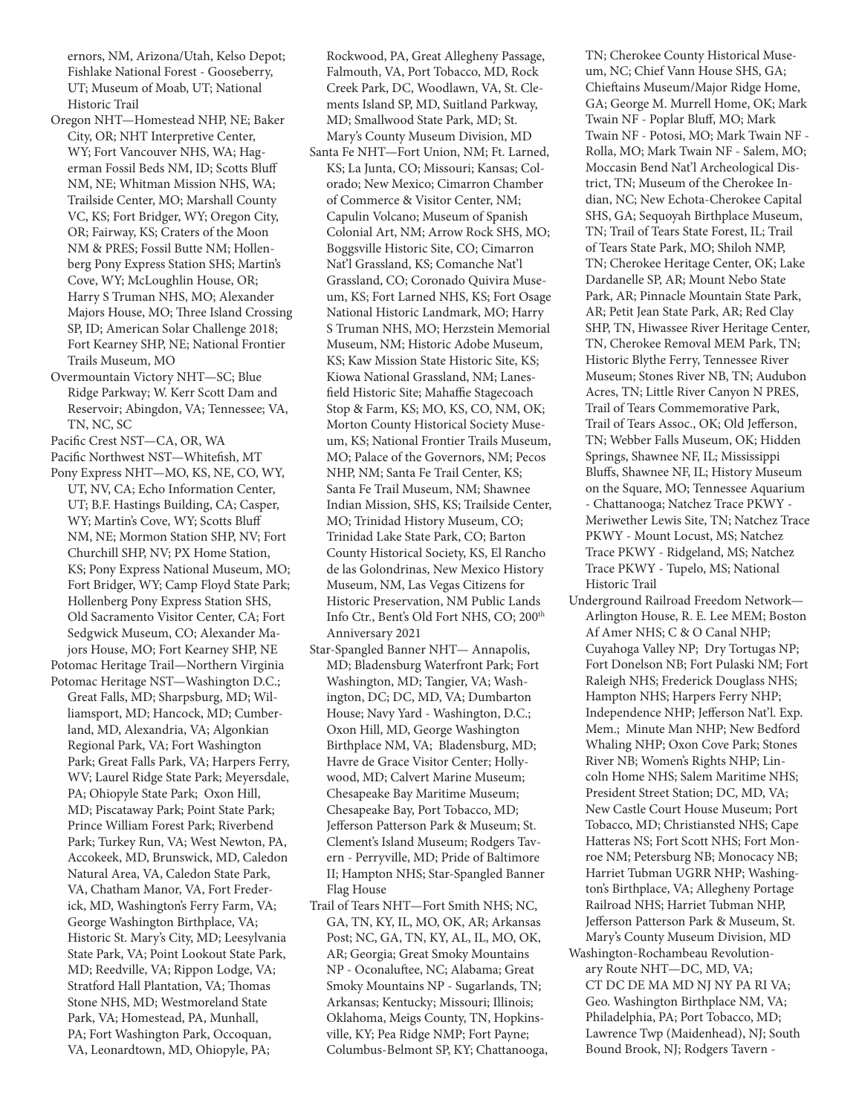ernors, NM, Arizona/Utah, Kelso Depot; Fishlake National Forest - Gooseberry, UT; Museum of Moab, UT; National Historic Trail

- Oregon NHT—Homestead NHP, NE; Baker City, OR; NHT Interpretive Center, WY; Fort Vancouver NHS, WA; Hagerman Fossil Beds NM, ID; Scotts Bluff NM, NE; Whitman Mission NHS, WA; Trailside Center, MO; Marshall County VC, KS; Fort Bridger, WY; Oregon City, OR; Fairway, KS; Craters of the Moon NM & PRES; Fossil Butte NM; Hollenberg Pony Express Station SHS; Martin's Cove, WY; McLoughlin House, OR; Harry S Truman NHS, MO; Alexander Majors House, MO; Three Island Crossing SP, ID; American Solar Challenge 2018; Fort Kearney SHP, NE; National Frontier Trails Museum, MO
- Overmountain Victory NHT—SC; Blue Ridge Parkway; W. Kerr Scott Dam and Reservoir; Abingdon, VA; Tennessee; VA, TN, NC, SC
- Pacific Crest NST—CA, OR, WA
- Pacific Northwest NST—Whitefish, MT
- Pony Express NHT—MO, KS, NE, CO, WY, UT, NV, CA; Echo Information Center, UT; B.F. Hastings Building, CA; Casper, WY; Martin's Cove, WY; Scotts Bluff NM, NE; Mormon Station SHP, NV; Fort Churchill SHP, NV; PX Home Station, KS; Pony Express National Museum, MO; Fort Bridger, WY; Camp Floyd State Park; Hollenberg Pony Express Station SHS, Old Sacramento Visitor Center, CA; Fort Sedgwick Museum, CO; Alexander Majors House, MO; Fort Kearney SHP, NE
- Potomac Heritage Trail—Northern Virginia Potomac Heritage NST—Washington D.C.; Great Falls, MD; Sharpsburg, MD; Williamsport, MD; Hancock, MD; Cumberland, MD, Alexandria, VA; Algonkian Regional Park, VA; Fort Washington Park; Great Falls Park, VA; Harpers Ferry, WV; Laurel Ridge State Park; Meyersdale, PA; Ohiopyle State Park; Oxon Hill, MD; Piscataway Park; Point State Park; Prince William Forest Park; Riverbend Park; Turkey Run, VA; West Newton, PA, Accokeek, MD, Brunswick, MD, Caledon Natural Area, VA, Caledon State Park, VA, Chatham Manor, VA, Fort Frederick, MD, Washington's Ferry Farm, VA; George Washington Birthplace, VA; Historic St. Mary's City, MD; Leesylvania State Park, VA; Point Lookout State Park, MD; Reedville, VA; Rippon Lodge, VA; Stratford Hall Plantation, VA; Thomas Stone NHS, MD; Westmoreland State Park, VA; Homestead, PA, Munhall,
	- PA; Fort Washington Park, Occoquan, VA, Leonardtown, MD, Ohiopyle, PA;

Rockwood, PA, Great Allegheny Passage, Falmouth, VA, Port Tobacco, MD, Rock Creek Park, DC, Woodlawn, VA, St. Clements Island SP, MD, Suitland Parkway, MD; Smallwood State Park, MD; St. Mary's County Museum Division, MD

- Santa Fe NHT—Fort Union, NM; Ft. Larned, KS; La Junta, CO; Missouri; Kansas; Colorado; New Mexico; Cimarron Chamber of Commerce & Visitor Center, NM; Capulin Volcano; Museum of Spanish Colonial Art, NM; Arrow Rock SHS, MO; Boggsville Historic Site, CO; Cimarron Nat'l Grassland, KS; Comanche Nat'l Grassland, CO; Coronado Quivira Museum, KS; Fort Larned NHS, KS; Fort Osage National Historic Landmark, MO; Harry S Truman NHS, MO; Herzstein Memorial Museum, NM; Historic Adobe Museum, KS; Kaw Mission State Historic Site, KS; Kiowa National Grassland, NM; Lanesfield Historic Site; Mahaffie Stagecoach Stop & Farm, KS; MO, KS, CO, NM, OK; Morton County Historical Society Museum, KS; National Frontier Trails Museum, MO; Palace of the Governors, NM; Pecos NHP, NM; Santa Fe Trail Center, KS; Santa Fe Trail Museum, NM; Shawnee Indian Mission, SHS, KS; Trailside Center, MO; Trinidad History Museum, CO; Trinidad Lake State Park, CO; Barton County Historical Society, KS, El Rancho de las Golondrinas, New Mexico History Museum, NM, Las Vegas Citizens for Historic Preservation, NM Public Lands Info Ctr., Bent's Old Fort NHS, CO; 200<sup>th</sup> Anniversary 2021
- Star-Spangled Banner NHT— Annapolis, MD; Bladensburg Waterfront Park; Fort Washington, MD; Tangier, VA; Washington, DC; DC, MD, VA; Dumbarton House; Navy Yard - Washington, D.C.; Oxon Hill, MD, George Washington Birthplace NM, VA; Bladensburg, MD; Havre de Grace Visitor Center; Hollywood, MD; Calvert Marine Museum; Chesapeake Bay Maritime Museum; Chesapeake Bay, Port Tobacco, MD; Jefferson Patterson Park & Museum; St. Clement's Island Museum; Rodgers Tavern - Perryville, MD; Pride of Baltimore II; Hampton NHS; Star-Spangled Banner Flag House
- Trail of Tears NHT—Fort Smith NHS; NC, GA, TN, KY, IL, MO, OK, AR; Arkansas Post; NC, GA, TN, KY, AL, IL, MO, OK, AR; Georgia; Great Smoky Mountains NP - Oconaluftee, NC; Alabama; Great Smoky Mountains NP - Sugarlands, TN; Arkansas; Kentucky; Missouri; Illinois; Oklahoma, Meigs County, TN, Hopkinsville, KY; Pea Ridge NMP; Fort Payne; Columbus-Belmont SP, KY; Chattanooga,

TN; Cherokee County Historical Museum, NC; Chief Vann House SHS, GA; Chieftains Museum/Major Ridge Home, GA; George M. Murrell Home, OK; Mark Twain NF - Poplar Bluff, MO; Mark Twain NF - Potosi, MO; Mark Twain NF - Rolla, MO; Mark Twain NF - Salem, MO; Moccasin Bend Nat'l Archeological District, TN; Museum of the Cherokee Indian, NC; New Echota-Cherokee Capital SHS, GA; Sequoyah Birthplace Museum, TN; Trail of Tears State Forest, IL; Trail of Tears State Park, MO; Shiloh NMP, TN; Cherokee Heritage Center, OK; Lake Dardanelle SP, AR; Mount Nebo State Park, AR; Pinnacle Mountain State Park, AR; Petit Jean State Park, AR; Red Clay SHP, TN, Hiwassee River Heritage Center, TN, Cherokee Removal MEM Park, TN; Historic Blythe Ferry, Tennessee River Museum; Stones River NB, TN; Audubon Acres, TN; Little River Canyon N PRES, Trail of Tears Commemorative Park, Trail of Tears Assoc., OK; Old Jefferson, TN; Webber Falls Museum, OK; Hidden Springs, Shawnee NF, IL; Mississippi Bluffs, Shawnee NF, IL; History Museum on the Square, MO; Tennessee Aquarium - Chattanooga; Natchez Trace PKWY - Meriwether Lewis Site, TN; Natchez Trace PKWY - Mount Locust, MS; Natchez Trace PKWY - Ridgeland, MS; Natchez Trace PKWY - Tupelo, MS; National Historic Trail

- Underground Railroad Freedom Network— Arlington House, R. E. Lee MEM; Boston Af Amer NHS; C & O Canal NHP; Cuyahoga Valley NP; Dry Tortugas NP; Fort Donelson NB; Fort Pulaski NM; Fort Raleigh NHS; Frederick Douglass NHS; Hampton NHS; Harpers Ferry NHP; Independence NHP; Jefferson Nat'l. Exp. Mem.; Minute Man NHP; New Bedford Whaling NHP; Oxon Cove Park; Stones River NB; Women's Rights NHP; Lincoln Home NHS; Salem Maritime NHS; President Street Station; DC, MD, VA; New Castle Court House Museum; Port Tobacco, MD; Christiansted NHS; Cape Hatteras NS; Fort Scott NHS; Fort Monroe NM; Petersburg NB; Monocacy NB; Harriet Tubman UGRR NHP; Washington's Birthplace, VA; Allegheny Portage Railroad NHS; Harriet Tubman NHP, Jefferson Patterson Park & Museum, St. Mary's County Museum Division, MD
- Washington-Rochambeau Revolutionary Route NHT—DC, MD, VA; CT DC DE MA MD NJ NY PA RI VA; Geo. Washington Birthplace NM, VA; Philadelphia, PA; Port Tobacco, MD; Lawrence Twp (Maidenhead), NJ; South Bound Brook, NJ; Rodgers Tavern -